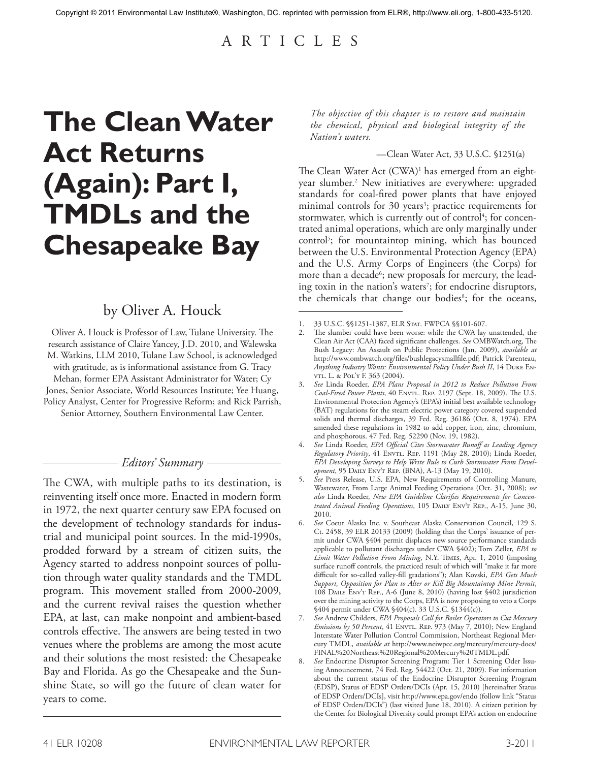# A R T I C L E S

# **The Clean Water Act Returns (Again): Part I, TMDLs and the Chesapeake Bay**

## by Oliver A. Houck

Oliver A. Houck is Professor of Law, Tulane University. The research assistance of Claire Yancey, J.D. 2010, and Walewska M. Watkins, LLM 2010, Tulane Law School, is acknowledged with gratitude, as is informational assistance from G. Tracy Mehan, former EPA Assistant Administrator for Water; Cy Jones, Senior Associate, World Resources Institute; Yee Huang, Policy Analyst, Center for Progressive Reform; and Rick Parrish,

Senior Attorney, Southern Environmental Law Center.

### *Editors' Summary*

The CWA, with multiple paths to its destination, is reinventing itself once more. Enacted in modern form in 1972, the next quarter century saw EPA focused on the development of technology standards for industrial and municipal point sources. In the mid-1990s, prodded forward by a stream of citizen suits, the Agency started to address nonpoint sources of pollution through water quality standards and the TMDL program. This movement stalled from 2000-2009, and the current revival raises the question whether EPA, at last, can make nonpoint and ambient-based controls effective. The answers are being tested in two venues where the problems are among the most acute and their solutions the most resisted: the Chesapeake Bay and Florida. As go the Chesapeake and the Sunshine State, so will go the future of clean water for years to come.

*The objective of this chapter is to restore and maintain the chemical, physical and biological integrity of the Nation's waters.*

#### —Clean Water Act, 33 U.S.C. §1251(a)

The Clean Water Act (CWA)<sup>1</sup> has emerged from an eightyear slumber. 2 New initiatives are everywhere: upgraded standards for coal-fired power plants that have enjoyed minimal controls for 30 years<sup>3</sup>; practice requirements for stormwater, which is currently out of control<sup>4</sup>; for concentrated animal operations, which are only marginally under control5 ; for mountaintop mining, which has bounced between the U.S. Environmental Protection Agency (EPA) and the U.S. Army Corps of Engineers (the Corps) for more than a decade<sup>6</sup>; new proposals for mercury, the leading toxin in the nation's waters<sup>7</sup>; for endocrine disruptors, the chemicals that change our bodies<sup>8</sup>; for the oceans,

<sup>1. 33</sup> U.S.C. §§1251-1387, ELR Stat. FWPCA §§101-607.

The slumber could have been worse: while the CWA lay unattended, the Clean Air Act (CAA) faced significant challenges. *See* OMBWatch.org, The Bush Legacy: An Assault on Public Protections (Jan. 2009), *available at* http://www.ombwatch.org/files/bushlegacysmallfile.pdf; Patrick Parenteau, *Anything Industry Wants: Environmental Policy Under Bush II*, 14 Duke Envrl. L. & Pol'y F. 363 (2004).

<sup>3.</sup> *See* Linda Roeder, *EPA Plans Proposal in 2012 to Reduce Pollution From*  Coal-Fired Power Plants, 40 ENVTL. REP. 2197 (Sept. 18, 2009). The U.S. Environmental Protection Agency's (EPA's) initial best available technology (BAT) regulations for the steam electric power category covered suspended solids and thermal discharges, 39 Fed. Reg. 36186 (Oct. 8, 1974). EPA amended these regulations in 1982 to add copper, iron, zinc, chromium, and phosphorous. 47 Fed. Reg. 52290 (Nov. 19, 1982).

<sup>4.</sup> *See* Linda Roeder, *EPA Official Cites Stormwater Runoff as Leading Agency Regulatory Priority*, 41 Envtl. Rep. 1191 (May 28, 2010); Linda Roeder, *EPA Developing Surveys to Help Write Rule to Curb Stormwater From Development*, 95 Daily Env't Rep. (BNA), A-13 (May 19, 2010).

<sup>5.</sup> *See* Press Release, U.S. EPA, New Requirements of Controlling Manure, Wastewater, From Large Animal Feeding Operations (Oct. 31, 2008); *see also* Linda Roeder, *New EPA Guideline Clarifies Requirements for Concentrated Animal Feeding Operations*, 105 Daily Env't Rep., A-15, June 30, 2010.

<sup>6.</sup> *See* Coeur Alaska Inc. v. Southeast Alaska Conservation Council, 129 S. Ct. 2458, 39 ELR 20133 (2009) (holding that the Corps' issuance of permit under CWA §404 permit displaces new source performance standards applicable to pollutant discharges under CWA §402); Tom Zeller, *EPA to Limit Water Pollution From Mining*, N.Y. Times, Apr. 1, 2010 (imposing surface runoff controls, the practiced result of which will "make it far more difficult for so-called valley-fill gradations"); Alan Kovski, *EPA Gets Much Support, Opposition for Plan to Alter or Kill Big Mountaintop Mine Permit*, 108 Daily Env't Rep., A-6 (June 8, 2010) (having lost §402 jurisdiction over the mining activity to the Corps, EPA is now proposing to veto a Corps §404 permit under CWA §404(c). 33 U.S.C. §1344(c)).

<sup>7.</sup> *See* Andrew Childers, *EPA Proposals Call for Boiler Operators to Cut Mercury Emissions by 50 Percent*, 41 ENVTL. REP. 973 (May 7, 2010); New England Interstate Water Pollution Control Commission, Northeast Regional Mercury TMDL, *available at* http://www.neiwpcc.org/mercury/mercury-docs/ FINAL%20Northeast%20Regional%20Mercury%20TMDL.pdf.

<sup>8.</sup> *See* Endocrine Disruptor Screening Program: Tier 1 Screening Oder Issuing Announcement, 74 Fed. Reg. 54422 (Oct. 21, 2009). For information about the current status of the Endocrine Disruptor Screening Program (EDSP), Status of EDSP Orders/DCIs (Apr. 15, 2010) [hereinafter Status of EDSP Orders/DCIs], visit http://www.epa.gov/endo (follow link "Status of EDSP Orders/DCIs") (last visited June 18, 2010). A citizen petition by the Center for Biological Diversity could prompt EPA's action on endocrine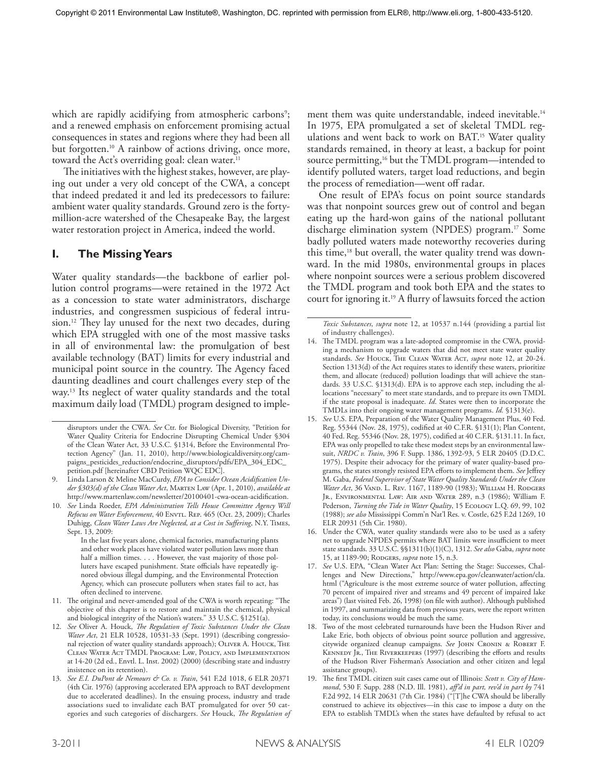which are rapidly acidifying from atmospheric carbons<sup>9</sup>; and a renewed emphasis on enforcement promising actual consequences in states and regions where they had been all but forgotten. 10 A rainbow of actions driving, once more, toward the Act's overriding goal: clean water. 11

The initiatives with the highest stakes, however, are playing out under a very old concept of the CWA, a concept that indeed predated it and led its predecessors to failure: ambient water quality standards. Ground zero is the fortymillion-acre watershed of the Chesapeake Bay, the largest water restoration project in America, indeed the world.

## **I. The Missing Years**

Water quality standards—the backbone of earlier pollution control programs—were retained in the 1972 Act as a concession to state water administrators, discharge industries, and congressmen suspicious of federal intrusion. 12 They lay unused for the next two decades, during which EPA struggled with one of the most massive tasks in all of environmental law: the promulgation of best available technology (BAT) limits for every industrial and municipal point source in the country. The Agency faced daunting deadlines and court challenges every step of the way. 13 Its neglect of water quality standards and the total maximum daily load (TMDL) program designed to imple-

ment them was quite understandable, indeed inevitable. 14 In 1975, EPA promulgated a set of skeletal TMDL regulations and went back to work on BAT. 15 Water quality standards remained, in theory at least, a backup for point source permitting,<sup>16</sup> but the TMDL program—intended to identify polluted waters, target load reductions, and begin the process of remediation—went off radar.

One result of EPA's focus on point source standards was that nonpoint sources grew out of control and began eating up the hard-won gains of the national pollutant discharge elimination system (NPDES) program. 17 Some badly polluted waters made noteworthy recoveries during this time,18 but overall, the water quality trend was downward. In the mid 1980s, environmental groups in places where nonpoint sources were a serious problem discovered the TMDL program and took both EPA and the states to court for ignoring it. 19 A flurry of lawsuits forced the action

disruptors under the CWA. *See* Ctr. for Biological Diversity, "Petition for Water Quality Criteria for Endocrine Disrupting Chemical Under §304 of the Clean Water Act, 33 U.S.C. §1314, Before the Environmental Protection Agency" (Jan. 11, 2010), http://www.biologicaldiversity.org/campaigns\_pesticides\_reduction/endocrine\_disruptors/pdfs/EPA\_304\_EDC\_ petition.pdf [hereinafter CBD Petition WQC EDC].

<sup>9.</sup> Linda Larson & Meline MacCurdy, *EPA to Consider Ocean Acidification Under §303(d) of the Clean Water Act*, Marten Law (Apr. 1, 2010), *available at* http://www.martenlaw.com/newsletter/20100401-cwa-ocean-acidification.

<sup>10.</sup> *See* Linda Roeder, *EPA Administration Tells House Committee Agency Will Refocus on Water Enforcement*, 40 ENVTL. REP. 465 (Oct. 23, 2009); Charles Duhigg, *Clean Water Laws Are Neglected, at a Cost in Suffering*, N.Y. Times, Sept. 13, 2009:

In the last five years alone, chemical factories, manufacturing plants and other work places have violated water pollution laws more than half a million times.... However, the vast majority of those polluters have escaped punishment. State officials have repeatedly ignored obvious illegal dumping, and the Environmental Protection Agency, which can prosecute polluters when states fail to act, has often declined to intervene.

<sup>11.</sup> The original and never-amended goal of the CWA is worth repeating: "The objective of this chapter is to restore and maintain the chemical, physical and biological integrity of the Nation's waters." 33 U.S.C. §1251(a).

<sup>12.</sup> *See* Oliver A. Houck, *The Regulation of Toxic Substances Under the Clean Water Act*, 21 ELR 10528, 10531-33 (Sept. 1991) (describing congressional rejection of water quality standards approach); OLIVER A. HOUCK, THE Clean Water Act TMDL Program: Law, Policy, and Implementation at 14-20 (2d ed., Envtl. L. Inst. 2002) (2000) (describing state and industry insistence on its retention).

<sup>13.</sup> *See E.I. DuPont de Nemours & Co. v. Train*, 541 F.2d 1018, 6 ELR 20371 (4th Cir. 1976) (approving accelerated EPA approach to BAT development due to accelerated deadlines). In the ensuing process, industry and trade associations sued to invalidate each BAT promulgated for over 50 categories and such categories of dischargers. *See* Houck, *The Regulation of* 

*Toxic Substances, supra* note 12, at 10537 n.144 (providing a partial list of industry challenges).

<sup>14.</sup> The TMDL program was a late-adopted compromise in the CWA, providing a mechanism to upgrade waters that did not meet state water quality standards. See HOUCK, THE CLEAN WATER ACT, *supra* note 12, at 20-24. Section 1313(d) of the Act requires states to identify these waters, prioritize them, and allocate (reduced) pollution loadings that will achieve the standards. 33 U.S.C. §1313(d). EPA is to approve each step, including the allocations "necessary" to meet state standards, and to prepare its own TMDL if the state proposal is inadequate. *Id*. States were then to incorporate the TMDLs into their ongoing water management programs. *Id.* §1313(e).

<sup>15.</sup> *See* U.S. EPA, Preparation of the Water Quality Management Plus, 40 Fed. Reg. 55344 (Nov. 28, 1975), codified at 40 C.F.R. §131(1); Plan Content, 40 Fed. Reg. 55346 (Nov. 28, 1975), codified at 40 C.F.R. §131.11. In fact, EPA was only propelled to take these modest steps by an environmental lawsuit, *NRDC v. Train*, 396 F. Supp. 1386, 1392-93, 5 ELR 20405 (D.D.C. 1975). Despite their advocacy for the primary of water quality-based programs, the states strongly resisted EPA efforts to implement them. *See* Jeffrey M. Gaba, *Federal Supervisor of State Water Quality Standards Under the Clean Water Act*, 36 Vand. L. Rev. 1167, 1189-90 (1983); William H. Rodgers Jr., Environmental Law: Air and Water 289, n.3 (1986); William F. Pederson, *Turning the Tide in Water Quality*, 15 Ecology L.Q. 69, 99, 102 (1988); *see also* Mississippi Comm'n Nat'l Res. v. Costle, 625 F.2d 1269, 10 ELR 20931 (5th Cir. 1980).

<sup>16.</sup> Under the CWA, water quality standards were also to be used as a safety net to upgrade NPDES permits where BAT limits were insufficient to meet state standards. 33 U.S.C. §§1311(b)(1)(C), 1312. *See also* Gaba, *supra* note 15, at 1189-90; RODGERS, *supra* note 15, n.3.

<sup>17.</sup> *See* U.S. EPA, "Clean Water Act Plan: Setting the Stage: Successes, Challenges and New Directions," http://www.epa.gov/cleanwater/action/cla. html ("Agriculture is the most extreme source of water pollution, affecting 70 percent of impaired river and streams and 49 percent of impaired lake areas") (last visited Feb. 26, 1998) (on file with author). Although published in 1997, and summarizing data from previous years, were the report written today, its conclusions would be much the same.

<sup>18.</sup> Two of the most celebrated turnarounds have been the Hudson River and Lake Erie, both objects of obvious point source pollution and aggressive, citywide organized cleanup campaigns. *See* John Cronin & Robert F. KENNEDY JR., THE RIVERKEEPERS (1997) (describing the efforts and results of the Hudson River Fisherman's Association and other citizen and legal assistance groups).

<sup>19.</sup> The first TMDL citizen suit cases came out of Illinois: *Scott v. City of Hammond*, 530 F. Supp. 288 (N.D. Ill. 1981), *aff'd in part, rev'd in part by* 741 F.2d 992, 14 ELR 20631 (7th Cir. 1984) ("[T]he CWA should be liberally construed to achieve its objectives—in this case to impose a duty on the EPA to establish TMDL's when the states have defaulted by refusal to act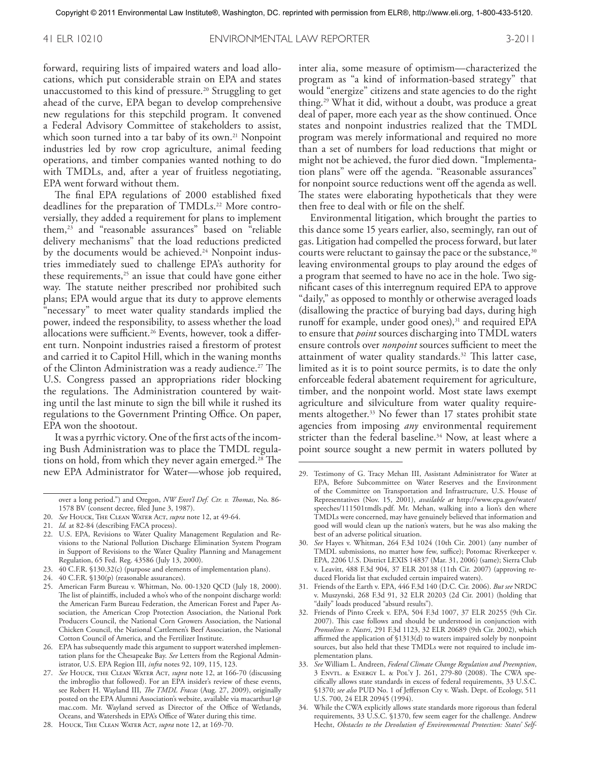forward, requiring lists of impaired waters and load allocations, which put considerable strain on EPA and states unaccustomed to this kind of pressure. 20 Struggling to get ahead of the curve, EPA began to develop comprehensive new regulations for this stepchild program. It convened a Federal Advisory Committee of stakeholders to assist, which soon turned into a tar baby of its own. 21 Nonpoint industries led by row crop agriculture, animal feeding operations, and timber companies wanted nothing to do with TMDLs, and, after a year of fruitless negotiating, EPA went forward without them.

The final EPA regulations of 2000 established fixed deadlines for the preparation of TMDLs. 22 More controversially, they added a requirement for plans to implement them,23 and "reasonable assurances" based on "reliable delivery mechanisms" that the load reductions predicted by the documents would be achieved. 24 Nonpoint industries immediately sued to challenge EPA's authority for these requirements, $25$  an issue that could have gone either way. The statute neither prescribed nor prohibited such plans; EPA would argue that its duty to approve elements "necessary" to meet water quality standards implied the power, indeed the responsibility, to assess whether the load allocations were sufficient. 26 Events, however, took a different turn. Nonpoint industries raised a firestorm of protest and carried it to Capitol Hill, which in the waning months of the Clinton Administration was a ready audience. 27 The U.S. Congress passed an appropriations rider blocking the regulations. The Administration countered by waiting until the last minute to sign the bill while it rushed its regulations to the Government Printing Office. On paper, EPA won the shootout.

It was a pyrrhic victory. One of the first acts of the incoming Bush Administration was to place the TMDL regulations on hold, from which they never again emerged. 28 The new EPA Administrator for Water—whose job required,

24. 40 C.F.R. §130(p) (reasonable assurances).

inter alia, some measure of optimism—characterized the program as "a kind of information-based strategy" that would "energize" citizens and state agencies to do the right thing. 29 What it did, without a doubt, was produce a great deal of paper, more each year as the show continued. Once states and nonpoint industries realized that the TMDL program was merely informational and required no more than a set of numbers for load reductions that might or might not be achieved, the furor died down. "Implementation plans" were off the agenda. "Reasonable assurances" for nonpoint source reductions went off the agenda as well. The states were elaborating hypotheticals that they were then free to deal with or file on the shelf.

Environmental litigation, which brought the parties to this dance some 15 years earlier, also, seemingly, ran out of gas. Litigation had compelled the process forward, but later courts were reluctant to gainsay the pace or the substance,<sup>30</sup> leaving environmental groups to play around the edges of a program that seemed to have no ace in the hole. Two significant cases of this interregnum required EPA to approve "daily," as opposed to monthly or otherwise averaged loads (disallowing the practice of burying bad days, during high runoff for example, under good ones), $31$  and required EPA to ensure that *point* sources discharging into TMDL waters ensure controls over *nonpoint* sources sufficient to meet the attainment of water quality standards. 32 This latter case, limited as it is to point source permits, is to date the only enforceable federal abatement requirement for agriculture, timber, and the nonpoint world. Most state laws exempt agriculture and silviculture from water quality requirements altogether. 33 No fewer than 17 states prohibit state agencies from imposing *any* environmental requirement stricter than the federal baseline. 34 Now, at least where a point source sought a new permit in waters polluted by

over a long period.") and Oregon, *NW Envt'l Def. Ctr. v. Thomas*, No. 86- 1578 BV (consent decree, filed June 3, 1987).

<sup>20.</sup> *See* Houck, The Clean Water Act, *supra* note 12, at 49-64.

<sup>21.</sup> *Id.* at 82-84 (describing FACA process).

<sup>22.</sup> U.S. EPA, Revisions to Water Quality Management Regulation and Revisions to the National Pollution Discharge Elimination System Program in Support of Revisions to the Water Quality Planning and Management Regulation, 65 Fed. Reg. 43586 (July 13, 2000).

<sup>23.</sup> 40 C.F.R. §130.32(c) (purpose and elements of implementation plans).

<sup>25.</sup> American Farm Bureau v. Whitman, No. 00-1320 QCD (July 18, 2000). The list of plaintiffs, included a who's who of the nonpoint discharge world: the American Farm Bureau Federation, the American Forest and Paper Association, the American Crop Protection Association, the National Pork Producers Council, the National Corn Growers Association, the National Chicken Council, the National Cattlemen's Beef Association, the National Cotton Council of America, and the Fertilizer Institute.

<sup>26.</sup> EPA has subsequently made this argument to support watershed implementation plans for the Chesapeake Bay. *See* Letters from the Regional Administrator, U.S. EPA Region III, *infra* notes 92, 109, 115, 123.

<sup>27.</sup> *See* Houck, the Clean Water Act, *supra* note 12, at 166-70 (discussing the imbroglio that followed). For an EPA insider's review of these events, see Robert H. Wayland III, *The TMDL Fracas* (Aug. 27, 2009), originally posted on the EPA Alumni Association's website, available via macarthur1@ mac.com. Mr. Wayland served as Director of the Office of Wetlands, Oceans, and Watersheds in EPA's Office of Water during this time.

<sup>28.</sup> Houck, The Clean Water Act, *supra* note 12, at 169-70.

<sup>29.</sup> Testimony of G. Tracy Mehan III, Assistant Administrator for Water at EPA, Before Subcommittee on Water Reserves and the Environment of the Committee on Transportation and Infrastructure, U.S. House of Representatives (Nov. 15, 2001), *available at* http://www.epa.gov/water/ speeches/111501tmdls.pdf. Mr. Mehan, walking into a lion's den where TMDLs were concerned, may have genuinely believed that information and good will would clean up the nation's waters, but he was also making the best of an adverse political situation.

<sup>30.</sup> *See* Hayes v. Whitman, 264 F.3d 1024 (10th Cir. 2001) (any number of TMDL submissions, no matter how few, suffice); Potomac Riverkeeper v. EPA, 2206 U.S. District LEXIS 14837 (Mar. 31, 2006) (same); Sierra Club v. Leavitt, 488 F.3d 904, 37 ELR 20138 (11th Cir. 2007) (approving reduced Florida list that excluded certain impaired waters).

<sup>31.</sup> Friends of the Earth v. EPA, 446 F.3d 140 (D.C. Cir. 2006). *But see* NRDC v. Muszynski, 268 F.3d 91, 32 ELR 20203 (2d Cir. 2001) (holding that "daily" loads produced "absurd results").

<sup>32.</sup> Friends of Pinto Creek v. EPA, 504 F.3d 1007, 37 ELR 20255 (9th Cir. 2007). This case follows and should be understood in conjunction with *Pronsolino v. Nastri*, 291 F.3d 1123, 32 ELR 20689 (9th Cir. 2002), which affirmed the application of §1313(d) to waters impaired solely by nonpoint sources, but also held that these TMDLs were not required to include implementation plans.

<sup>33.</sup> *See* William L. Andreen, *Federal Climate Change Regulation and Preemption*, 3 Envtl. & Energy L. & Pol'y J. 261, 279-80 (2008). The CWA specifically allows state standards in excess of federal requirements, 33 U.S.C. §1370; *see also* PUD No. 1 of Jefferson Cty v. Wash. Dept. of Ecology, 511 U.S. 700, 24 ELR 20945 (1994).

<sup>34.</sup> While the CWA explicitly allows state standards more rigorous than federal requirements, 33 U.S.C. §1370, few seem eager for the challenge. Andrew Hecht, *Obstacles to the Devolution of Environmental Protection: States' Self-*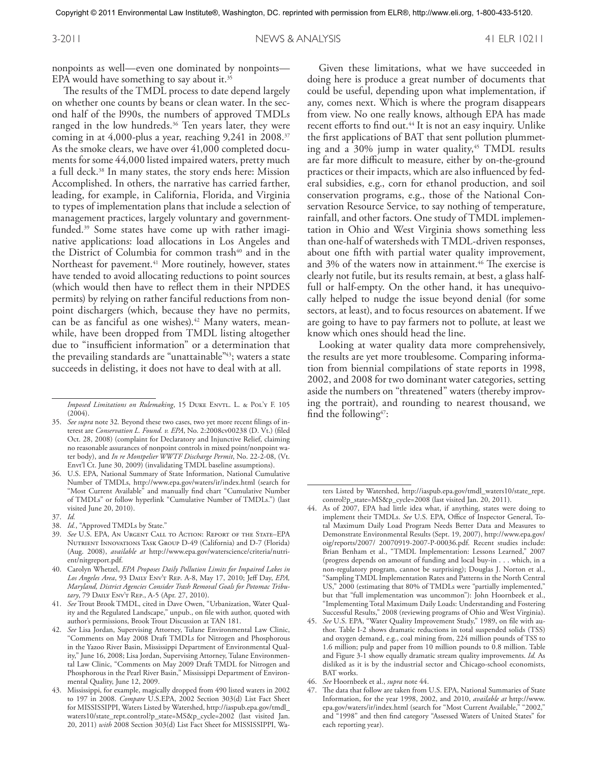nonpoints as well—even one dominated by nonpoints— EPA would have something to say about it. 35

The results of the TMDL process to date depend largely on whether one counts by beans or clean water. In the second half of the l990s, the numbers of approved TMDLs ranged in the low hundreds. 36 Ten years later, they were coming in at 4,000-plus a year, reaching 9,241 in 2008. 37 As the smoke clears, we have over 41,000 completed documents for some 44,000 listed impaired waters, pretty much a full deck. 38 In many states, the story ends here: Mission Accomplished. In others, the narrative has carried farther, leading, for example, in California, Florida, and Virginia to types of implementation plans that include a selection of management practices, largely voluntary and governmentfunded. 39 Some states have come up with rather imaginative applications: load allocations in Los Angeles and the District of Columbia for common trash<sup>40</sup> and in the Northeast for pavement. 41 More routinely, however, states have tended to avoid allocating reductions to point sources (which would then have to reflect them in their NPDES permits) by relying on rather fanciful reductions from nonpoint dischargers (which, because they have no permits, can be as fanciful as one wishes). 42 Many waters, meanwhile, have been dropped from TMDL listing altogether due to "insufficient information" or a determination that the prevailing standards are "unattainable"<sup>43</sup>; waters a state succeeds in delisting, it does not have to deal with at all.

- 38. *Id.*, "Approved TMDLs by State."
- 39. *See* U.S. EPA, An Urgent Call to Action: Report of the State–EPA Nutrient Innovations Task Group D-49 (California) and D-7 (Florida) (Aug. 2008), *available at* http://www.epa.gov/waterscience/criteria/nutrient/nitgreport.pdf.
- 40. Carolyn Whetzel, *EPA Proposes Daily Pollution Limits for Impaired Lakes in Los Angeles Area*, 93 Daily Env't Rep. A-8, May 17, 2010; Jeff Day, *EPA, Maryland, District Agencies Consider Trash Removal Goals for Potomac Tributary*, 79 Daily Env't Rep., A-5 (Apr. 27, 2010).
- 41. *See* Trout Brook TMDL, cited in Dave Owen, "Urbanization, Water Quality and the Regulated Landscape," unpub., on file with author, quoted with author's permissions, Brook Trout Discussion at TAN 181.
- 42. *See* Lisa Jordan, Supervising Attorney, Tulane Environmental Law Clinic, "Comments on May 2008 Draft TMDLs for Nitrogen and Phosphorous in the Yazoo River Basin, Mississippi Department of Environmental Quality," June 16, 2008; Lisa Jordan, Supervising Attorney, Tulane Environmental Law Clinic, "Comments on May 2009 Draft TMDL for Nitrogen and Phosphorous in the Pearl River Basin," Mississippi Department of Environmental Quality, June 12, 2009.
- 43. Mississippi, for example, magically dropped from 490 listed waters in 2002 to 197 in 2008. *Compare* U.S.EPA, 2002 Section 303(d) List Fact Sheet for MISSISSIPPI, Waters Listed by Watershed, http://iaspub.epa.gov/tmdl\_ waters10/state\_rept.control?p\_state=MS&p\_cycle=2002 (last visited Jan. 20, 2011) *with* 2008 Section 303(d) List Fact Sheet for MISSISSIPPI, Wa-

Given these limitations, what we have succeeded in doing here is produce a great number of documents that could be useful, depending upon what implementation, if any, comes next. Which is where the program disappears from view. No one really knows, although EPA has made recent efforts to find out. 44 It is not an easy inquiry. Unlike the first applications of BAT that sent pollution plummeting and a  $30\%$  jump in water quality,<sup>45</sup> TMDL results are far more difficult to measure, either by on-the-ground practices or their impacts, which are also influenced by federal subsidies, e.g., corn for ethanol production, and soil conservation programs, e.g., those of the National Conservation Resource Service, to say nothing of temperature, rainfall, and other factors. One study of TMDL implementation in Ohio and West Virginia shows something less than one-half of watersheds with TMDL-driven responses, about one fifth with partial water quality improvement, and 3% of the waters now in attainment. 46 The exercise is clearly not futile, but its results remain, at best, a glass halffull or half-empty. On the other hand, it has unequivocally helped to nudge the issue beyond denial (for some sectors, at least), and to focus resources on abatement. If we are going to have to pay farmers not to pollute, at least we know which ones should head the line.

Looking at water quality data more comprehensively, the results are yet more troublesome. Comparing information from biennial compilations of state reports in 1998, 2002, and 2008 for two dominant water categories, setting aside the numbers on "threatened" waters (thereby improving the portrait), and rounding to nearest thousand, we find the following<sup>47</sup>:

46. *See* Hoornbeek et al., *supra* note 44.

*Imposed Limitations on Rulemaking*, 15 DUKE ENVTL. L. & POL'Y F. 105 (2004).

<sup>35.</sup> *See supra* note 32*.* Beyond these two cases, two yet more recent filings of interest are *Conservation L. Found. v. EPA*, No. 2:2008cv00238 (D. Vt.) (filed Oct. 28, 2008) (complaint for Declaratory and Injunctive Relief, claiming no reasonable assurances of nonpoint controls in mixed point/nonpoint water body), and *In re Montpelier WWTF Discharge Permit*, No. 22-2-08, (Vt. Envt'l Ct. June 30, 2009) (invalidating TMDL baseline assumptions).

<sup>36.</sup> U.S. EPA, National Summary of State Information, National Cumulative Number of TMDLs, http://www.epa.gov/waters/ir/index.html (search for "Most Current Available" and manually find chart "Cumulative Number of TMDLs" or follow hyperlink "Cumulative Number of TMDLs.") (last visited June 20, 2010).

<sup>37.</sup> *Id.*

ters Listed by Watershed, http://iaspub.epa.gov/tmdl\_waters10/state\_rept. control?p\_state=MS&p\_cycle=2008 (last visited Jan. 20, 2011).

<sup>44.</sup> As of 2007, EPA had little idea what, if anything, states were doing to implement their TMDLs. *See* U.S. EPA, Office of Inspector General, Total Maximum Daily Load Program Needs Better Data and Measures to Demonstrate Environmental Results (Sept. 19, 2007), http://www.epa.gov/ oig/reports/2007/ 20070919-2007-P-00036.pdf. Recent studies include: Brian Benham et al., "TMDL Implementation: Lessons Learned," 2007 (progress depends on amount of funding and local buy-in ... which, in a non-regulatory program, cannot be surprising); Douglas J. Norton et al., "Sampling TMDL Implementation Rates and Patterns in the North Central US," 2000 (estimating that 80% of TMDLs were "partially implemented," but that "full implementation was uncommon"): John Hoornbeek et al., "Implementing Total Maximum Daily Loads: Understanding and Fostering Successful Results," 2008 (reviewing programs of Ohio and West Virginia).

<sup>45.</sup> *See* U.S. EPA, "Water Quality Improvement Study," 1989, on file with author. Table I-2 shows dramatic reductions in total suspended solids (TSS) and oxygen demand, e.g., coal mining from, 224 million pounds of TSS to 1.6 million; pulp and paper from 10 million pounds to 0.8 million. Table and Figure 3-1 show equally dramatic stream quality improvements. *Id.* As disliked as it is by the industrial sector and Chicago-school economists, BAT works.

<sup>47.</sup> The data that follow are taken from U.S. EPA, National Summaries of State Information, for the year 1998, 2002, and 2010, *available at* http://www. epa.gov/waters/ir/index.html (search for "Most Current Available," "2002," and "1998" and then find category "Assessed Waters of United States" for each reporting year).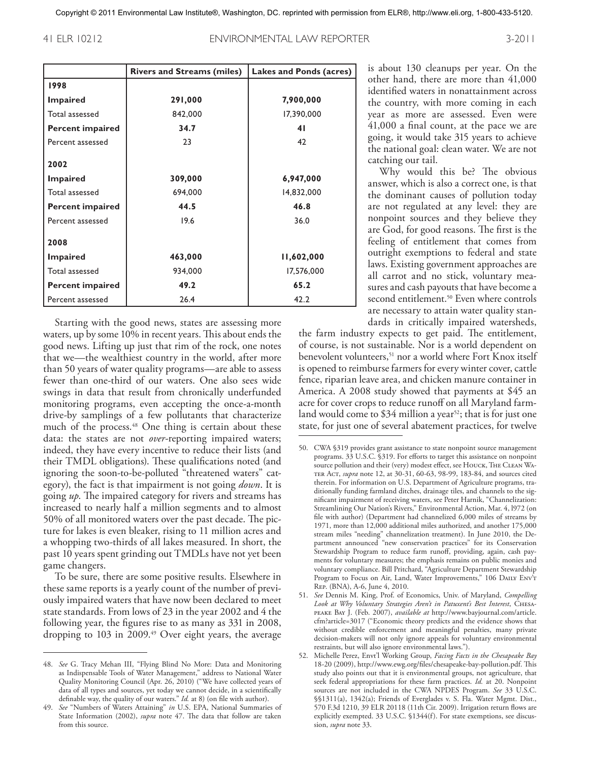41 ELR 10212 ENVIRONMENTAL LAW REPORTER 3-2011

|                         | <b>Rivers and Streams (miles)</b> | <b>Lakes and Ponds (acres)</b> |  |
|-------------------------|-----------------------------------|--------------------------------|--|
| 1998                    |                                   |                                |  |
| <b>Impaired</b>         | 291,000                           | 7,900,000                      |  |
| Total assessed          | 842,000                           | 17,390,000                     |  |
| <b>Percent impaired</b> | 34.7                              | 41                             |  |
| Percent assessed        | 23                                | 42                             |  |
| 2002                    |                                   |                                |  |
| <b>Impaired</b>         | 309,000                           | 6,947,000                      |  |
| Total assessed          | 694,000                           | 14,832,000                     |  |
| <b>Percent impaired</b> | 44.5                              | 46.8                           |  |
| Percent assessed        | 19.6                              | 36.0                           |  |
| 2008                    |                                   |                                |  |
| <b>Impaired</b>         | 463,000                           | 11,602,000                     |  |
| Total assessed          | 934,000                           | 17,576,000                     |  |
| <b>Percent impaired</b> | 49.2                              | 65.2                           |  |
| Percent assessed        | 26.4                              | 42.2                           |  |

Starting with the good news, states are assessing more waters, up by some 10% in recent years. This about ends the good news. Lifting up just that rim of the rock, one notes that we—the wealthiest country in the world, after more than 50 years of water quality programs—are able to assess fewer than one-third of our waters. One also sees wide swings in data that result from chronically underfunded monitoring programs, even accepting the once-a-month drive-by samplings of a few pollutants that characterize much of the process. 48 One thing is certain about these data: the states are not *over*-reporting impaired waters; indeed, they have every incentive to reduce their lists (and their TMDL obligations). These qualifications noted (and ignoring the soon-to-be-polluted "threatened waters" category), the fact is that impairment is not going *down*. It is going *up*. The impaired category for rivers and streams has increased to nearly half a million segments and to almost 50% of all monitored waters over the past decade. The picture for lakes is even bleaker, rising to 11 million acres and a whopping two-thirds of all lakes measured. In short, the past 10 years spent grinding out TMDLs have not yet been game changers.

To be sure, there are some positive results. Elsewhere in these same reports is a yearly count of the number of previously impaired waters that have now been declared to meet state standards. From lows of 23 in the year 2002 and 4 the following year, the figures rise to as many as 331 in 2008, dropping to 103 in 2009. 49 Over eight years, the average is about 130 cleanups per year. On the other hand, there are more than 41,000 identified waters in nonattainment across the country, with more coming in each year as more are assessed. Even were 41,000 a final count, at the pace we are going, it would take 315 years to achieve the national goal: clean water. We are not catching our tail.

Why would this be? The obvious answer, which is also a correct one, is that the dominant causes of pollution today are not regulated at any level: they are nonpoint sources and they believe they are God, for good reasons. The first is the feeling of entitlement that comes from outright exemptions to federal and state laws. Existing government approaches are all carrot and no stick, voluntary measures and cash payouts that have become a second entitlement. 50 Even where controls are necessary to attain water quality standards in critically impaired watersheds,

the farm industry expects to get paid. The entitlement, of course, is not sustainable. Nor is a world dependent on benevolent volunteers,<sup>51</sup> nor a world where Fort Knox itself is opened to reimburse farmers for every winter cover, cattle fence, riparian leave area, and chicken manure container in America. A 2008 study showed that payments at \$45 an acre for cover crops to reduce runoff on all Maryland farmland would come to \$34 million a year<sup>52</sup>; that is for just one state, for just one of several abatement practices, for twelve

<sup>48.</sup> *See* G. Tracy Mehan III, "Flying Blind No More: Data and Monitoring as Indispensable Tools of Water Management," address to National Water Quality Monitoring Council (Apr. 26, 2010) ("We have collected years of data of all types and sources, yet today we cannot decide, in a scientifically definable way, the quality of our waters." *Id.* at 8) (on file with author).

<sup>49.</sup> *See* "Numbers of Waters Attaining" *in* U.S. EPA, National Summaries of State Information (2002), *supra* note 47. The data that follow are taken from this source.

<sup>50.</sup> CWA §319 provides grant assistance to state nonpoint source management programs. 33 U.S.C. §319. For efforts to target this assistance on nonpoint source pollution and their (very) modest effect, see HOUCK, THE CLEAN WAter Act, *supra* note 12, at 30-31, 60-63, 98-99, 183-84, and sources cited therein. For information on U.S. Department of Agriculture programs, traditionally funding farmland ditches, drainage tiles, and channels to the significant impairment of receiving waters, see Peter Harnik, "Channelization: Streamlining Our Nation's Rivers," Environmental Action, Mar. 4, l972 (on file with author) (Department had channelized 6,000 miles of streams by 1971, more than 12,000 additional miles authorized, and another 175,000 stream miles "needing" channelization treatment). In June 2010, the Department announced "new conservation practices" for its Conservation Stewardship Program to reduce farm runoff, providing, again, cash payments for voluntary measures; the emphasis remains on public monies and voluntary compliance. Bill Pritchard, "Agriculture Department Stewardship Program to Focus on Air, Land, Water Improvements," 106 DAILY ENVT Rep. (BNA), A-6, June 4, 2010.

<sup>51.</sup> *See* Dennis M. King, Prof. of Economics, Univ. of Maryland, *Compelling Look at Why Voluntary Strategies Aren't in Patuxent's Best Interest*, Chesapeake Bay J. (Feb. 2007), *available at* http://www.bayjournal.com/article. cfm?article=3017 ("Economic theory predicts and the evidence shows that without credible enforcement and meaningful penalties, many private decision-makers will not only ignore appeals for voluntary environmental restraints, but will also ignore environmental laws.").

<sup>52.</sup> Michelle Perez, Envt'l Working Group, *Facing Facts in the Chesapeake Bay* 18-20 (2009), http://www.ewg.org/files/chesapeake-bay-pollution.pdf. This study also points out that it is environmental groups, not agriculture, that seek federal appropriations for these farm practices. *Id.* at 20. Nonpoint sources are not included in the CWA NPDES Program. *See* 33 U.S.C. §§1311(a), 1342(a); Friends of Everglades v. S. Fla. Water Mgmt. Dist., 570 F.3d 1210, 39 ELR 20118 (11th Cir. 2009). Irrigation return flows are explicitly exempted. 33 U.S.C. §1344(f). For state exemptions, see discussion, *supra* note 33.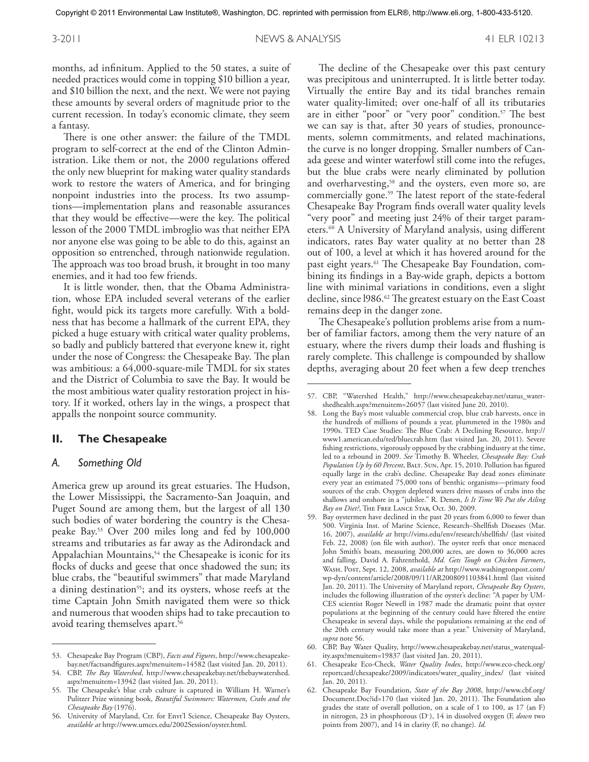months, ad infinitum. Applied to the 50 states, a suite of needed practices would come in topping \$10 billion a year, and \$10 billion the next, and the next. We were not paying these amounts by several orders of magnitude prior to the current recession. In today's economic climate, they seem a fantasy.

There is one other answer: the failure of the TMDL program to self-correct at the end of the Clinton Administration. Like them or not, the 2000 regulations offered the only new blueprint for making water quality standards work to restore the waters of America, and for bringing nonpoint industries into the process. Its two assumptions—implementation plans and reasonable assurances that they would be effective—were the key. The political lesson of the 2000 TMDL imbroglio was that neither EPA nor anyone else was going to be able to do this, against an opposition so entrenched, through nationwide regulation. The approach was too broad brush, it brought in too many enemies, and it had too few friends.

It is little wonder, then, that the Obama Administration, whose EPA included several veterans of the earlier fight, would pick its targets more carefully. With a boldness that has become a hallmark of the current EPA, they picked a huge estuary with critical water quality problems, so badly and publicly battered that everyone knew it, right under the nose of Congress: the Chesapeake Bay. The plan was ambitious: a 64,000-square-mile TMDL for six states and the District of Columbia to save the Bay. It would be the most ambitious water quality restoration project in history. If it worked, others lay in the wings, a prospect that appalls the nonpoint source community.

#### **II. The Chesapeake**

#### *A. Something Old*

America grew up around its great estuaries. The Hudson, the Lower Mississippi, the Sacramento-San Joaquin, and Puget Sound are among them, but the largest of all 130 such bodies of water bordering the country is the Chesapeake Bay. 53 Over 200 miles long and fed by 100,000 streams and tributaries as far away as the Adirondack and Appalachian Mountains,<sup>54</sup> the Chesapeake is iconic for its flocks of ducks and geese that once shadowed the sun; its blue crabs, the "beautiful swimmers" that made Maryland a dining destination<sup>55</sup>; and its oysters, whose reefs at the time Captain John Smith navigated them were so thick and numerous that wooden ships had to take precaution to avoid tearing themselves apart. 56

The decline of the Chesapeake over this past century was precipitous and uninterrupted. It is little better today. Virtually the entire Bay and its tidal branches remain water quality-limited; over one-half of all its tributaries are in either "poor" or "very poor" condition. 57 The best we can say is that, after 30 years of studies, pronouncements, solemn commitments, and related machinations, the curve is no longer dropping. Smaller numbers of Canada geese and winter waterfowl still come into the refuges, but the blue crabs were nearly eliminated by pollution and overharvesting,<sup>58</sup> and the oysters, even more so, are commercially gone. 59 The latest report of the state-federal Chesapeake Bay Program finds overall water quality levels "very poor" and meeting just 24% of their target parameters. 60 A University of Maryland analysis, using different indicators, rates Bay water quality at no better than 28 out of 100, a level at which it has hovered around for the past eight years. 61 The Chesapeake Bay Foundation, combining its findings in a Bay-wide graph, depicts a bottom line with minimal variations in conditions, even a slight decline, since l986. 62 The greatest estuary on the East Coast remains deep in the danger zone.

The Chesapeake's pollution problems arise from a number of familiar factors, among them the very nature of an estuary, where the rivers dump their loads and flushing is rarely complete. This challenge is compounded by shallow depths, averaging about 20 feet when a few deep trenches

<sup>53.</sup> Chesapeake Bay Program (CBP), *Facts and Figures*, http://www.chesapeakebay.net/factsandfigures.aspx?menuitem=14582 (last visited Jan. 20, 2011).

<sup>54.</sup> CBP, *The Bay Watershed*, http://www.chesapeakebay.net/thebaywatershed. aspx?menuitem=13942 (last visited Jan. 20, 2011).

<sup>55.</sup> The Chesapeake's blue crab culture is captured in William H. Warner's Pulitzer Prize winning book, *Beautiful Swimmers: Watermen, Crabs and the Chesapeake Bay* (1976).

<sup>56.</sup> University of Maryland, Ctr. for Envt'l Science, Chesapeake Bay Oysters, *available at* http://www.umces.edu/2002Session/oyster.html.

<sup>57.</sup> CBP, "Watershed Health," http://www.chesapeakebay.net/status\_watershedhealth.aspx?menuitem=26057 (last visited June 20, 2010).

<sup>58.</sup> Long the Bay's most valuable commercial crop, blue crab harvests, once in the hundreds of millions of pounds a year, plummeted in the 1980s and 1990s. TED Case Studies: The Blue Crab: A Declining Resource, http:// www1.american.edu/ted/bluecrab.htm (last visited Jan. 20, 2011). Severe fishing restrictions, vigorously opposed by the crabbing industry at the time, led to a rebound in 2009. *See* Timothy B. Wheeler, *Chesapeake Bay: Crab*  Population Up by 60 Percent, BALT. SUN, Apr. 15, 2010. Pollution has figured equally large in the crab's decline. Chesapeake Bay dead zones eliminate every year an estimated 75,000 tons of benthic organisms—primary food sources of the crab. Oxygen depleted waters drive masses of crabs into the shallows and onshore in a "jubilee." R. Denen, *Is It Time We Put the Ailing Bay on Diet?*, The Free Lance Star, Oct. 30, 2009.

<sup>59.</sup> Bay oystermen have declined in the past 20 years from 6,000 to fewer than 500. Virginia Inst. of Marine Science, Research–Shellfish Diseases (Mar. 16, 2007), *available at* http://vims.edu/env/research/shellfish/ (last visited Feb. 22, 2008) (on file with author). The oyster reefs that once menaced John Smith's boats, measuring 200,000 acres, are down to 36,000 acres and falling, David A. Fahrenthold, *Md. Gets Tough on Chicken Farmers*, Wash. Post, Sept. 12, 2008, *available at* http://www.washingtonpost.com/ wp-dyn/content/article/2008/09/11/AR2008091103841.html (last visited Jan. 20, 2011). The University of Maryland report, *Chesapeake Bay Oysters*, includes the following illustration of the oyster's decline: "A paper by UM-CES scientist Roger Newell in 1987 made the dramatic point that oyster populations at the beginning of the century could have filtered the entire Chesapeake in several days, while the populations remaining at the end of the 20th century would take more than a year." University of Maryland, *supra* note 56.

<sup>60.</sup> CBP, Bay Water Quality, http://www.chesapeakebay.net/status\_waterquality.aspx?menuitem=19837 (last visited Jan. 20, 2011).

<sup>61.</sup> Chesapeake Eco-Check, *Water Quality Index*, http://www.eco-check.org/ reportcard/chesapeake/2009/indicators/water\_quality\_index/ (last visited Jan. 20, 2011).

<sup>62.</sup> Chesapeake Bay Foundation, *State of the Bay 2008*, http://www.cbf.org/ Document.Doc?id=170 (last visited Jan. 20, 2011). The Foundation also grades the state of overall pollution, on a scale of 1 to 100, as 17 (an F) in nitrogen, 23 in phosphorous (D– ), 14 in dissolved oxygen (F, *down* two points from 2007), and 14 in clarity (F, no change). *Id.*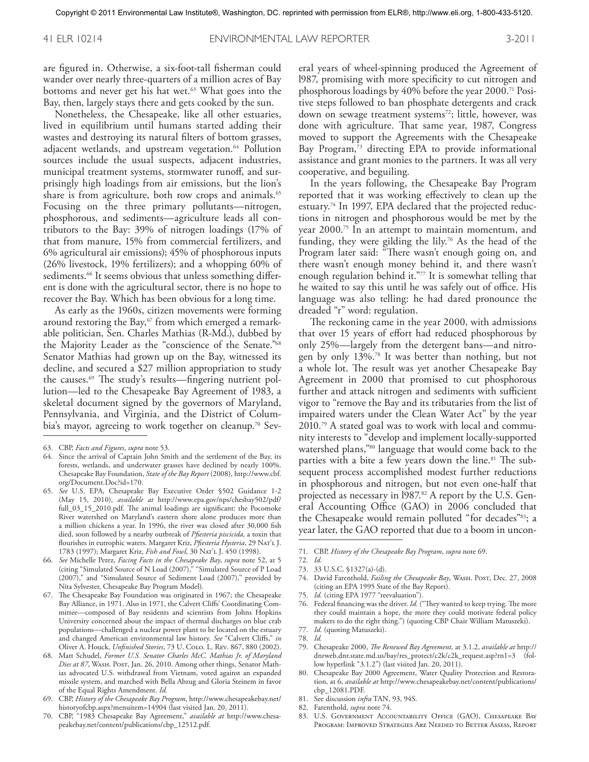are figured in. Otherwise, a six-foot-tall fisherman could wander over nearly three-quarters of a million acres of Bay bottoms and never get his hat wet. 63 What goes into the Bay, then, largely stays there and gets cooked by the sun.

Nonetheless, the Chesapeake, like all other estuaries, lived in equilibrium until humans started adding their wastes and destroying its natural filters of bottom grasses, adjacent wetlands, and upstream vegetation. 64 Pollution sources include the usual suspects, adjacent industries, municipal treatment systems, stormwater runoff, and surprisingly high loadings from air emissions, but the lion's share is from agriculture, both row crops and animals. 65 Focusing on the three primary pollutants—nitrogen, phosphorous, and sediments—agriculture leads all contributors to the Bay: 39% of nitrogen loadings (17% of that from manure, 15% from commercial fertilizers, and 6% agricultural air emissions); 45% of phosphorous inputs (26% livestock, 19% fertilizers); and a whopping 60% of sediments. 66 It seems obvious that unless something different is done with the agricultural sector, there is no hope to recover the Bay. Which has been obvious for a long time.

As early as the 1960s, citizen movements were forming around restoring the Bay,<sup>67</sup> from which emerged a remarkable politician, Sen. Charles Mathias (R-Md.), dubbed by the Majority Leader as the "conscience of the Senate."68 Senator Mathias had grown up on the Bay, witnessed its decline, and secured a \$27 million appropriation to study the causes. 69 The study's results—fingering nutrient pollution—led to the Chesapeake Bay Agreement of 1983, a skeletal document signed by the governors of Maryland, Pennsylvania, and Virginia, and the District of Columbia's mayor, agreeing to work together on cleanup. 70 Sev-

- 64. Since the arrival of Captain John Smith and the settlement of the Bay, its forests, wetlands, and underwater grasses have declined by nearly 100%. Chesapeake Bay Foundation, *State of the Bay Report* (2008), http://www.cbf. org/Document.Doc?id=170.
- 65. *See* U.S. EPA, Chesapeake Bay Executive Order §502 Guidance 1-2 (May 15, 2010), *available at* http://www.epa.gov/nps/chesbay502/pdf/ full\_03\_15\_2010.pdf. The animal loadings are significant: the Pocomoke River watershed on Maryland's eastern shore alone produces more than a million chickens a year. In 1996, the river was closed after 30,000 fish died, soon followed by a nearby outbreak of *Pfiesteria piscicida,* a toxin that flourishes in eutrophic waters. Margaret Kriz, *Pfiesteria Hysteria*, 29 Nat'l J. 1783 (1997); Margaret Kriz, *Fish and Fowl*, 30 Nat'l J. 450 (1998).

66. *See* Michelle Perez, *Facing Facts in the Chesapeake Bay*, *supra* note 52, at 5 (citing "Simulated Source of N Load (2007)," "Simulated Source of P Load (2007)," and "Simulated Source of Sediment Load (2007)," provided by Nita Sylvester, Chesapeake Bay Program Model).

67. The Chesapeake Bay Foundation was originated in 1967; the Chesapeake Bay Alliance, in 1971. Also in 1971, the Calvert Cliffs' Coordinating Committee—composed of Bay residents and scientists from Johns Hopkins University concerned about the impact of thermal discharges on blue crab populations—challenged a nuclear power plant to be located on the estuary and changed American environmental law history. *See* "Calvert Cliffs," *in* Oliver A. Houck, *Unfinished Stories*, 73 U. Colo. L. Rev. 867, 880 (2002).

- 68. Matt Schudel, *Former U.S. Senator Charles McC. Mathias Jr. of Maryland*  Dies at 87, WASH. Post, Jan. 26, 2010. Among other things, Senator Mathias advocated U.S. withdrawal from Vietnam, voted against an expanded missile system, and marched with Bella Abzug and Gloria Steinem in favor of the Equal Rights Amendment. *Id.*
- 69. CBP, *History of the Chesapeake Bay Program*, http://www.chesapeakebay.net/ historyofcbp.aspx?menuitem=14904 (last visited Jan. 20, 2011).
- 70. CBP, "1983 Chesapeake Bay Agreement," *available at* http://www.chesapeakebay.net/content/publications/cbp\_12512.pdf.

eral years of wheel-spinning produced the Agreement of l987, promising with more specificity to cut nitrogen and phosphorous loadings by 40% before the year 2000. 71 Positive steps followed to ban phosphate detergents and crack down on sewage treatment systems<sup>72</sup>; little, however, was done with agriculture. That same year, 1987, Congress moved to support the Agreements with the Chesapeake Bay Program,<sup>73</sup> directing EPA to provide informational assistance and grant monies to the partners. It was all very cooperative, and beguiling.

In the years following, the Chesapeake Bay Program reported that it was working effectively to clean up the estuary. 74 In 1997, EPA declared that the projected reductions in nitrogen and phosphorous would be met by the year 2000. 75 In an attempt to maintain momentum, and funding, they were gilding the lily. 76 As the head of the Program later said: "There wasn't enough going on, and there wasn't enough money behind it, and there wasn't enough regulation behind it."77 It is somewhat telling that he waited to say this until he was safely out of office. His language was also telling: he had dared pronounce the dreaded "r" word: regulation.

The reckoning came in the year 2000, with admissions that over 15 years of effort had reduced phosphorous by only 25%—largely from the detergent bans—and nitrogen by only 13%. 78 It was better than nothing, but not a whole lot. The result was yet another Chesapeake Bay Agreement in 2000 that promised to cut phosphorous further and attack nitrogen and sediments with sufficient vigor to "remove the Bay and its tributaries from the list of impaired waters under the Clean Water Act" by the year 2010. 79 A stated goal was to work with local and community interests to "develop and implement locally-supported watershed plans,"80 language that would come back to the parties with a bite a few years down the line. 81 The subsequent process accomplished modest further reductions in phosphorous and nitrogen, but not even one-half that projected as necessary in l987. 82 A report by the U.S. General Accounting Office (GAO) in 2006 concluded that the Chesapeake would remain polluted "for decades"<sup>83</sup>; a year later, the GAO reported that due to a boom in uncon-

- 74. David Farenthold, *Failing the Chesapeake Bay*, WASH. Post, Dec. 27, 2008 (citing an EPA 1995 State of the Bay Report).
- 75. *Id.* (citing EPA 1977 "reevaluation").
- 76. Federal financing was the driver. *Id.* ("They wanted to keep trying. The more they could maintain a hope, the more they could motivate federal policy makers to do the right thing.") (quoting CBP Chair William Matuszeki).
- 77. *Id.* (quoting Matuszeki).
- 78. *Id.*
- 79. Chesapeake 2000, *The Renewed Bay Agreement*, at 3.1.2, *available at* http:// dnrweb.dnr.state.md.us/bay/res\_protect/c2k/c2k\_request.asp?rn1=3 (follow hyperlink "3.1.2") (last visited Jan. 20, 2011).
- 80. Chesapeake Bay 2000 Agreement, Water Quality Protection and Restoration, at 6, *available at* http://www.chesapeakebay.net/content/publications/ cbp\_12081.PDF.
- 81. See discussion *infra* TAN, 93, 94S.
- 82. Farenthold, *supra* note 74.
- 83. U.S. Government Accountability Office (GAO), Chesapeake Bay Program: Improved Strategies Are Needed to Better Assess, Report

<sup>63.</sup> CBP, *Facts and Figures*, *supra* note 53.

<sup>71.</sup> CBP, *History of the Chesapeake Bay Program*, *supra* note 69.

<sup>72.</sup> *Id.* 73. 33 U.S.C. §1327(a)-(d).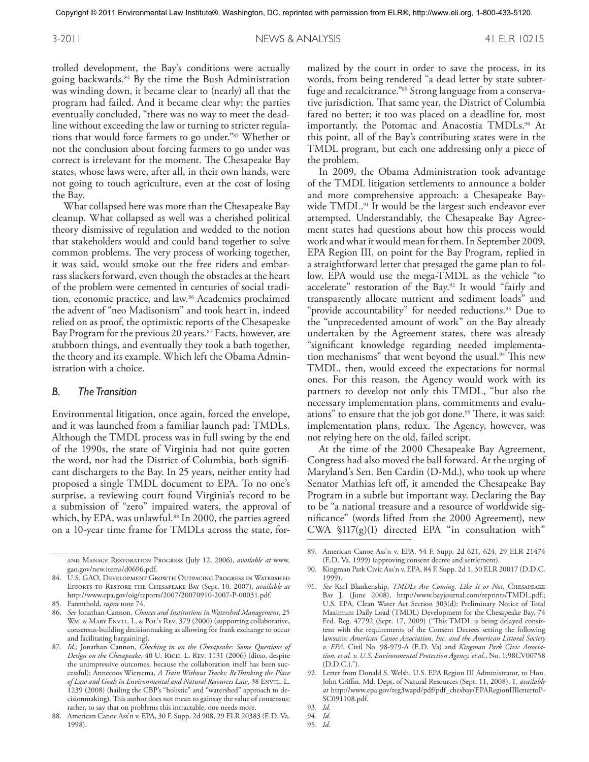trolled development, the Bay's conditions were actually going backwards. 84 By the time the Bush Administration was winding down, it became clear to (nearly) all that the program had failed. And it became clear why: the parties eventually concluded, "there was no way to meet the deadline without exceeding the law or turning to stricter regulations that would force farmers to go under."85 Whether or not the conclusion about forcing farmers to go under was correct is irrelevant for the moment. The Chesapeake Bay states, whose laws were, after all, in their own hands, were not going to touch agriculture, even at the cost of losing the Bay.

What collapsed here was more than the Chesapeake Bay cleanup. What collapsed as well was a cherished political theory dismissive of regulation and wedded to the notion that stakeholders would and could band together to solve common problems. The very process of working together, it was said, would smoke out the free riders and embarrass slackers forward, even though the obstacles at the heart of the problem were cemented in centuries of social tradition, economic practice, and law. 86 Academics proclaimed the advent of "neo Madisonism" and took heart in, indeed relied on as proof, the optimistic reports of the Chesapeake Bay Program for the previous 20 years. 87 Facts, however, are stubborn things, and eventually they took a bath together, the theory and its example. Which left the Obama Administration with a choice.

#### *B. The Transition*

Environmental litigation, once again, forced the envelope, and it was launched from a familiar launch pad: TMDLs. Although the TMDL process was in full swing by the end of the 1990s, the state of Virginia had not quite gotten the word, nor had the District of Columbia, both significant dischargers to the Bay. In 25 years, neither entity had proposed a single TMDL document to EPA. To no one's surprise, a reviewing court found Virginia's record to be a submission of "zero" impaired waters, the approval of which, by EPA, was unlawful. 88 In 2000, the parties agreed on a 10-year time frame for TMDLs across the state, for-

malized by the court in order to save the process, in its words, from being rendered "a dead letter by state subterfuge and recalcitrance."89 Strong language from a conservative jurisdiction. That same year, the District of Columbia fared no better; it too was placed on a deadline for, most importantly, the Potomac and Anacostia TMDLs. 90 At this point, all of the Bay's contributing states were in the TMDL program, but each one addressing only a piece of the problem.

In 2009, the Obama Administration took advantage of the TMDL litigation settlements to announce a bolder and more comprehensive approach: a Chesapeake Baywide TMDL. 91 It would be the largest such endeavor ever attempted. Understandably, the Chesapeake Bay Agreement states had questions about how this process would work and what it would mean for them.In September 2009, EPA Region III, on point for the Bay Program, replied in a straightforward letter that presaged the game plan to follow. EPA would use the mega-TMDL as the vehicle "to accelerate" restoration of the Bay. 92 It would "fairly and transparently allocate nutrient and sediment loads" and "provide accountability" for needed reductions. 93 Due to the "unprecedented amount of work" on the Bay already undertaken by the Agreement states, there was already "significant knowledge regarding needed implementation mechanisms" that went beyond the usual. 94 This new TMDL, then, would exceed the expectations for normal ones. For this reason, the Agency would work with its partners to develop not only this TMDL, "but also the necessary implementation plans, commitments and evaluations" to ensure that the job got done. 95 There, it was said: implementation plans, redux. The Agency, however, was not relying here on the old, failed script.

At the time of the 2000 Chesapeake Bay Agreement, Congress had also moved the ball forward. At the urging of Maryland's Sen. Ben Cardin (D-Md.), who took up where Senator Mathias left off, it amended the Chesapeake Bay Program in a subtle but important way. Declaring the Bay to be "a national treasure and a resource of worldwide significance" (words lifted from the 2000 Agreement), new CWA  $\{17(g)(1)$  directed EPA "in consultation with"

and Manage Restoration Progress (July 12, 2006), *available at* www. gao.gov/new.items/d0696.pdf.

<sup>84.</sup> U.S. GAO, Development Growth Outpacing Progress in Watershed Efforts to Restore the Chesapeake Bay (Sept. 10, 2007), *available at*  http://www.epa.gov/oig/reports/2007/20070910-2007-P-00031.pdf.

<sup>85.</sup> Farenthold, *supra* note 74.

<sup>86.</sup> *See* Jonathan Cannon, *Choices and Institutions in Watershed Management*, 25 WM. & MARY ENVTL. L. & POL'Y REV. 379 (2000) (supporting collaborative, consensus-building decisionmaking as allowing for frank exchange to occur and facilitating bargaining).

<sup>87.</sup> *Id.;* Jonathan Cannon, *Checking in on the Chesapeake: Some Questions of Design on the Chesapeake*, 40 U. Rich. L. Rev. 1131 (2006) (ditto, despite the unimpressive outcomes, because the collaboration itself has been successful); Annecoos Wiersema, *A Train Without Tracks: ReThinking the Place of Law and Goals in Environmental and Natural Resources Law*, 38 Envtl. L. 1239 (2008) (hailing the CBP's "holistic" and "watershed" approach to decisionmaking). This author does not mean to gainsay the value of consensus; rather, to say that on problems this intractable, one needs more.

<sup>88.</sup> American Canoe Ass'n v. EPA, 30 F. Supp. 2d 908, 29 ELR 20383 (E.D. Va. 1998).

<sup>89.</sup> American Canoe Ass'n v. EPA, 54 F. Supp. 2d 621, 624, 29 ELR 21474 (E.D. Va. 1999) (approving consent decree and settlement).

<sup>90.</sup> Kingman Park Civic Ass'n v. EPA, 84 F. Supp. 2d 1, 30 ELR 20017 (D.D.C. 1999).

<sup>91.</sup> *See* Karl Blankenship, *TMDLs Are Coming, Like It or Not*, Chesapeake Bay J. (June 2008), http://www.bayjournal.com/reprints/TMDL.pdf.; U.S. EPA, Clean Water Act Section 303(d): Preliminary Notice of Total Maximum Daily Load (TMDL) Development for the Chesapeake Bay, 74 Fed. Reg. 47792 (Sept. 17, 2009) ("This TMDL is being delayed consistent with the requirements of the Consent Decrees setting the following lawsuits: *American Canoe Association, Inc. and the American Littoral Society v. EPA*, Civil No. 98-979-A (E.D. Va) and *Kingman Park Civic Association, et al. v. U.S. Environmental Protection Agency, et al.*, No. 1:98CV00758 (D.D.C.).").

<sup>92.</sup> Letter from Donald S. Welsh, U.S. EPA Region III Administrator, to Hon. John Griffin, Md. Dept. of Natural Resources (Sept. 11, 2008), 1, *available at* http://www.epa.gov/reg3wapd/pdf/pdf\_chesbay/EPARegionIIIlettertoP-SC091108.pdf.

<sup>93.</sup> *Id.*

<sup>94.</sup> *Id.* 95. *Id.*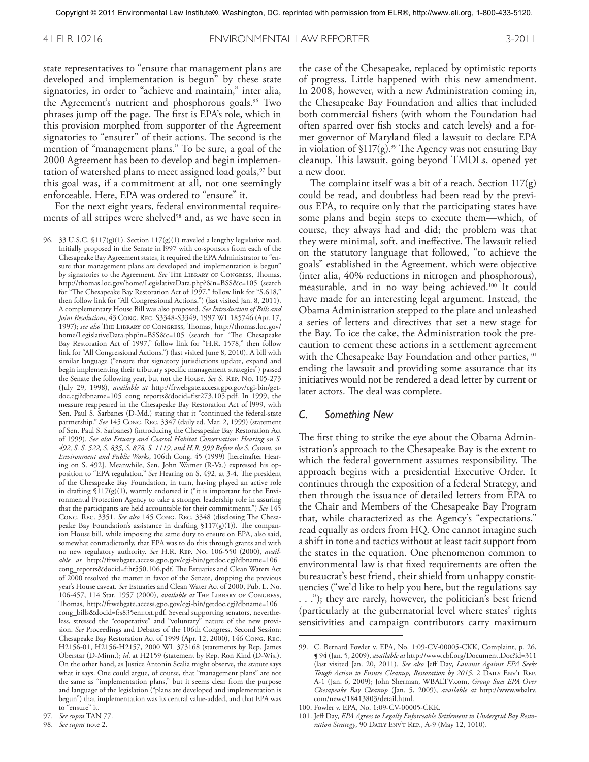state representatives to "ensure that management plans are developed and implementation is begun" by these state signatories, in order to "achieve and maintain," inter alia, the Agreement's nutrient and phosphorous goals. 96 Two phrases jump off the page. The first is EPA's role, which in this provision morphed from supporter of the Agreement signatories to "ensurer" of their actions. The second is the mention of "management plans." To be sure, a goal of the 2000 Agreement has been to develop and begin implementation of watershed plans to meet assigned load goals,<sup>97</sup> but this goal was, if a commitment at all, not one seemingly enforceable. Here, EPA was ordered to "ensure" it.

For the next eight years, federal environmental requirements of all stripes were shelved<sup>98</sup> and, as we have seen in the case of the Chesapeake, replaced by optimistic reports of progress. Little happened with this new amendment. In 2008, however, with a new Administration coming in, the Chesapeake Bay Foundation and allies that included both commercial fishers (with whom the Foundation had often sparred over fish stocks and catch levels) and a former governor of Maryland filed a lawsuit to declare EPA in violation of §117(g). 99 The Agency was not ensuring Bay cleanup. This lawsuit, going beyond TMDLs, opened yet a new door.

The complaint itself was a bit of a reach. Section  $117(g)$ could be read, and doubtless had been read by the previous EPA, to require only that the participating states have some plans and begin steps to execute them—which, of course, they always had and did; the problem was that they were minimal, soft, and ineffective. The lawsuit relied on the statutory language that followed, "to achieve the goals" established in the Agreement, which were objective (inter alia, 40% reductions in nitrogen and phosphorous), measurable, and in no way being achieved. 100 It could have made for an interesting legal argument. Instead, the Obama Administration stepped to the plate and unleashed a series of letters and directives that set a new stage for the Bay. To ice the cake, the Administration took the precaution to cement these actions in a settlement agreement with the Chesapeake Bay Foundation and other parties,<sup>101</sup> ending the lawsuit and providing some assurance that its initiatives would not be rendered a dead letter by current or later actors. The deal was complete.

#### *C. Something New*

The first thing to strike the eye about the Obama Administration's approach to the Chesapeake Bay is the extent to which the federal government assumes responsibility. The approach begins with a presidential Executive Order. It continues through the exposition of a federal Strategy, and then through the issuance of detailed letters from EPA to the Chair and Members of the Chesapeake Bay Program that, while characterized as the Agency's "expectations," read equally as orders from HQ. One cannot imagine such a shift in tone and tactics without at least tacit support from the states in the equation. One phenomenon common to environmental law is that fixed requirements are often the bureaucrat's best friend, their shield from unhappy constituencies ("we'd like to help you here, but the regulations say ..."); they are rarely, however, the politician's best friend (particularly at the gubernatorial level where states' rights sensitivities and campaign contributors carry maximum

<sup>96.</sup> 33 U.S.C. §117(g)(1). Section 117(g)(1) traveled a lengthy legislative road. Initially proposed in the Senate in l997 with co-sponsors from each of the Chesapeake Bay Agreement states, it required the EPA Administrator to "ensure that management plans are developed and implementation is begun" by signatories to the Agreement. *See* The Library of Congress, Thomas, http://thomas.loc.gov/home/LegislativeData.php?&n=BSS&c=105 (search for "The Chesapeake Bay Restoration Act of 1997," follow link for "S.618," then follow link for "All Congressional Actions.") (last visited Jan. 8, 2011). A complementary House Bill was also proposed. *See Introduction of Bills and Joint Resolutions*, 43 Cong. Rec. S3348-S3349, 1997 WL 185746 (Apr. 17, 1997); *see also* The Library of Congress, Thomas, http://thomas.loc.gov/ home/LegislativeData.php?n=BSS&c=105 (search for "The Chesapeake Bay Restoration Act of 1997," follow link for "H.R. 1578," then follow link for "All Congressional Actions.") (last visited June 8, 2010). A bill with similar language ("ensure that signatory jurisdictions update, expand and begin implementing their tributary specific management strategies") passed the Senate the following year, but not the House. *See* S. Rep. No. 105-273 (July 29, 1998), *available at* http://frwebgate.access.gpo.gov/cgi-bin/getdoc.cgi?dbname=105\_cong\_reports&docid=f:sr273.105.pdf. In 1999, the measure reappeared in the Chesapeake Bay Restoration Act of l999, with Sen. Paul S. Sarbanes (D-Md.) stating that it "continued the federal-state partnership." *See* 145 Cong. Rec. 3347 (daily ed. Mar. 2, 1999) (statement of Sen. Paul S. Sarbanes) (introducing the Chesapeake Bay Restoration Act of 1999). *See also Estuary and Coastal Habitat Conservation: Hearing on S. 492, S. S. 522, S. 835, S. 878, S. 1119, and H.R. 999 Before the S. Comm. on Environment and Public Works*, 106th Cong. 45 (1999) [hereinafter Hearing on S. 492]. Meanwhile, Sen. John Warner (R-Va.) expressed his opposition to "EPA regulation." *See* Hearing on S. 492, at 3-4. The president of the Chesapeake Bay Foundation, in turn, having played an active role in drafting §117(g)(1), warmly endorsed it ("it is important for the Environmental Protection Agency to take a stronger leadership role in assuring that the participants are held accountable for their commitments.") *See* 145 Cong. Rec. 3351. *See also* 145 Cong. Rec. 3348 (disclosing The Chesapeake Bay Foundation's assistance in drafting  $$117(g)(1)$ ). The companion House bill, while imposing the same duty to ensure on EPA, also said, somewhat contradictorily, that EPA was to do this through grants and with no new regulatory authority. *See* H.R. Rep. No. 106-550 (2000), *available at* http://frwebgate.access.gpo.gov/cgi-bin/getdoc.cgi?dbname=106\_ cong\_reports&docid=f:hr550.106.pdf. The Estuaries and Clean Waters Act of 2000 resolved the matter in favor of the Senate, dropping the previous year's House caveat. *See* Estuaries and Clean Water Act of 2000, Pub. L. No. 106-457, 114 Stat. 1957 (2000), *available at* The Library of Congress, Thomas, http://frwebgate.access.gpo.gov/cgi-bin/getdoc.cgi?dbname=106\_ cong\_bills&docid=f:s835enr.txt.pdf. Several supporting senators, nevertheless, stressed the "cooperative" and "voluntary" nature of the new provision. *See* Proceedings and Debates of the 106th Congress, Second Session: Chesapeake Bay Restoration Act of 1999 (Apr. 12, 2000), 146 Cong. Rec. H2156-01, H2156-H2157, 2000 WL 373168 (statements by Rep. James Oberstar (D-Minn.); *id*. at H2159 (statement by Rep. Ron Kind (D-Wis.). On the other hand, as Justice Antonin Scalia might observe, the statute says what it says. One could argue, of course, that "management plans" are not the same as "implementation plans," but it seems clear from the purpose and language of the legislation ("plans are developed and implementation is begun") that implementation was its central value-added, and that EPA was to "ensure" it.

<sup>97.</sup> *See supra* TAN 77.

<sup>98.</sup> *See supra* note 2.

<sup>99.</sup> C. Bernard Fowler v. EPA, No. 1:09-CV-00005-CKK, Complaint, p. 26, ¶ 94 (Jan. 5, 2009), *available at* http://www.cbf.org/Document.Doc?id=311 (last visited Jan. 20, 2011). *See also* Jeff Day, *Lawsuit Against EPA Seeks Tough Action to Ensure Cleanup, Restoration by 2015*, 2 Daily Env't Rep. A-1 (Jan. 6, 2009); John Sherman, WBALTV.com, *Group Sues EPA Over Chesapeake Bay Cleanup* (Jan. 5, 2009), *available at* http://www.wbaltv. com/news/18413803/detail.html.

<sup>100.</sup> Fowler v. EPA, No. 1:09-CV-00005-CKK.

<sup>101.</sup> Jeff Day, *EPA Agrees to Legally Enforceable Settlement to Undergrid Bay Restoration Strategy*, 90 Daily Env't Rep., A-9 (May 12, 1010).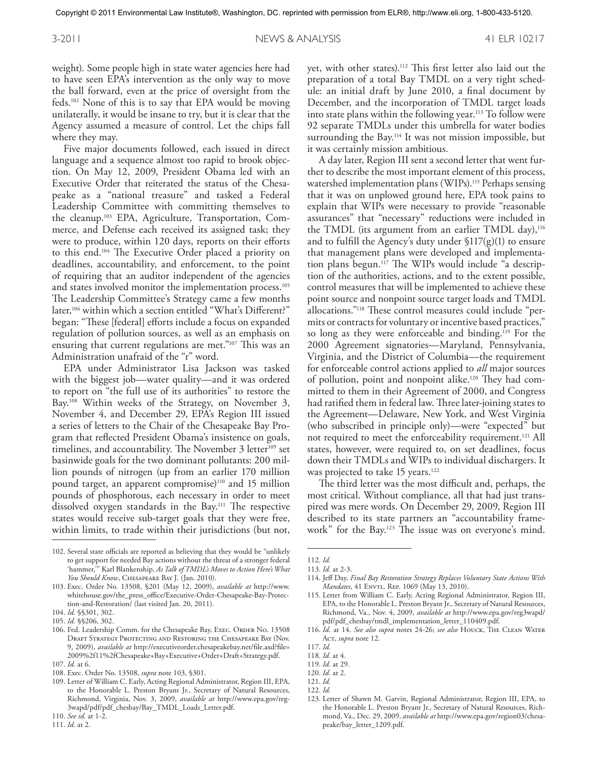weight). Some people high in state water agencies here had to have seen EPA's intervention as the only way to move the ball forward, even at the price of oversight from the feds. 102 None of this is to say that EPA would be moving unilaterally, it would be insane to try, but it is clear that the Agency assumed a measure of control. Let the chips fall where they may.

Five major documents followed, each issued in direct language and a sequence almost too rapid to brook objection. On May 12, 2009, President Obama led with an Executive Order that reiterated the status of the Chesapeake as a "national treasure" and tasked a Federal Leadership Committee with committing themselves to the cleanup. 103 EPA, Agriculture, Transportation, Commerce, and Defense each received its assigned task; they were to produce, within 120 days, reports on their efforts to this end. 104 The Executive Order placed a priority on deadlines, accountability, and enforcement, to the point of requiring that an auditor independent of the agencies and states involved monitor the implementation process. 105 The Leadership Committee's Strategy came a few months later,<sup>106</sup> within which a section entitled "What's Different?" began: "These [federal] efforts include a focus on expanded regulation of pollution sources, as well as an emphasis on ensuring that current regulations are met."107 This was an Administration unafraid of the "r" word.

EPA under Administrator Lisa Jackson was tasked with the biggest job—water quality—and it was ordered to report on "the full use of its authorities" to restore the Bay. 108 Within weeks of the Strategy, on November 3, November 4, and December 29, EPA's Region III issued a series of letters to the Chair of the Chesapeake Bay Program that reflected President Obama's insistence on goals, timelines, and accountability. The November  $3$  letter<sup>109</sup> set basinwide goals for the two dominant pollutants: 200 million pounds of nitrogen (up from an earlier 170 million pound target, an apparent compromise)<sup>110</sup> and 15 million pounds of phosphorous, each necessary in order to meet dissolved oxygen standards in the Bay. 111 The respective states would receive sub-target goals that they were free, within limits, to trade within their jurisdictions (but not,

111. *Id.* at 2.

yet, with other states). 112 This first letter also laid out the preparation of a total Bay TMDL on a very tight schedule: an initial draft by June 2010, a final document by December, and the incorporation of TMDL target loads into state plans within the following year. 113 To follow were 92 separate TMDLs under this umbrella for water bodies surrounding the Bay. 114 It was not mission impossible, but it was certainly mission ambitious.

A day later, Region III sent a second letter that went further to describe the most important element of this process, watershed implementation plans (WIPs). 115 Perhaps sensing that it was on unplowed ground here, EPA took pains to explain that WIPs were necessary to provide "reasonable assurances" that "necessary" reductions were included in the TMDL (its argument from an earlier TMDL day), $116$ and to fulfill the Agency's duty under  $$117(g)(1)$  to ensure that management plans were developed and implementation plans begun. 117 The WIPs would include "a description of the authorities, actions, and to the extent possible, control measures that will be implemented to achieve these point source and nonpoint source target loads and TMDL allocations."118 These control measures could include "permits or contracts for voluntary or incentive based practices," so long as they were enforceable and binding. 119 For the 2000 Agreement signatories—Maryland, Pennsylvania, Virginia, and the District of Columbia—the requirement for enforceable control actions applied to *all* major sources of pollution, point and nonpoint alike. 120 They had committed to them in their Agreement of 2000, and Congress had ratified them in federal law. Three later-joining states to the Agreement—Delaware, New York, and West Virginia (who subscribed in principle only)—were "expected" but not required to meet the enforceability requirement. 121 All states, however, were required to, on set deadlines, focus down their TMDLs and WIPs to individual dischargers. It was projected to take 15 years. 122

The third letter was the most difficult and, perhaps, the most critical. Without compliance, all that had just transpired was mere words. On December 29, 2009, Region III described to its state partners an "accountability framework" for the Bay. 123 The issue was on everyone's mind.

<sup>102.</sup> Several state officials are reported as believing that they would be "unlikely to get support for needed Bay actions without the threat of a stronger federal 'hammer,'" Karl Blankenship, *As Talk of TMDL's Moves to Action Here's What You Should Know*, Chesapeake Bay J. (Jan. 2010).

<sup>103.</sup> Exec. Order No. 13508, §201 (May 12, 2009), *available at* http://www. whitehouse.gov/the\_press\_office/Executive-Order-Chesapeake-Bay-Protection-and-Restoration/ (last visited Jan. 20, 2011).

<sup>104.</sup> *Id.* §§301, 302.

<sup>105.</sup> *Id.* §§206, 302.

<sup>106.</sup> Fed. Leadership Comm. for the Chesapeake Bay, Exec. ORDER No. 13508 Draft Strategy Protecting and Restoring the Chesapeake Bay (Nov. 9, 2009), *available at* http://executiveorder.chesapeakebay.net/file.axd?file= 2009%2f11%2fChesapeake+Bay+Executive+Order+Draft+Strategy.pdf.

<sup>107.</sup> *Id.* at 6.

<sup>108.</sup> Exec. Order No. 13508, *supra* note 103, §301.

<sup>109.</sup> Letter of William C. Early, Acting Regional Administrator, Region III, EPA, to the Honorable L. Preston Bryant Jr., Secretary of Natural Resources, Richmond, Virginia, Nov. 3, 2009, *available at* http://www.epa.gov/reg-3wapd/pdf/pdf\_chesbay/Bay\_TMDL\_Loads\_Letter.pdf.

<sup>110.</sup> *See id.* at 1-2.

<sup>112.</sup> *Id.*

<sup>113.</sup> *Id.* at 2-3.

<sup>114.</sup> Jeff Day, *Final Bay Restoration Strategy Replaces Voluntary State Actions With Mandates*, 41 ENVTL. REP. 1069 (May 13, 2010).

<sup>115.</sup> Letter from William C. Early, Acting Regional Administrator, Region III, EPA, to the Honorable L. Preston Bryant Jr., Secretary of Natural Resources, Richmond, Va., Nov. 4, 2009, *available at* http://www.epa.gov/reg3wapd/ pdf/pdf\_chesbay/tmdl\_implementation\_letter\_110409.pdf.

<sup>116.</sup> *Id.* at 14. *See also supra* notes 24-26; *see also* Houck, The Clean Water Acr, *supra* note 12.

<sup>117.</sup> *Id.*

<sup>118.</sup> *Id.* at 4.

<sup>119.</sup> *Id.* at 29.

<sup>120.</sup> *Id.* at 2.

<sup>121.</sup> *Id.*

<sup>122.</sup> *Id.*

<sup>123.</sup> Letter of Shawn M. Garvin, Regional Administrator, Region III, EPA, to the Honorable L. Preston Bryant Jr., Secretary of Natural Resources, Richmond, Va., Dec. 29, 2009, *available at* http://www.epa.gov/region03/chesapeake/bay\_letter\_1209.pdf.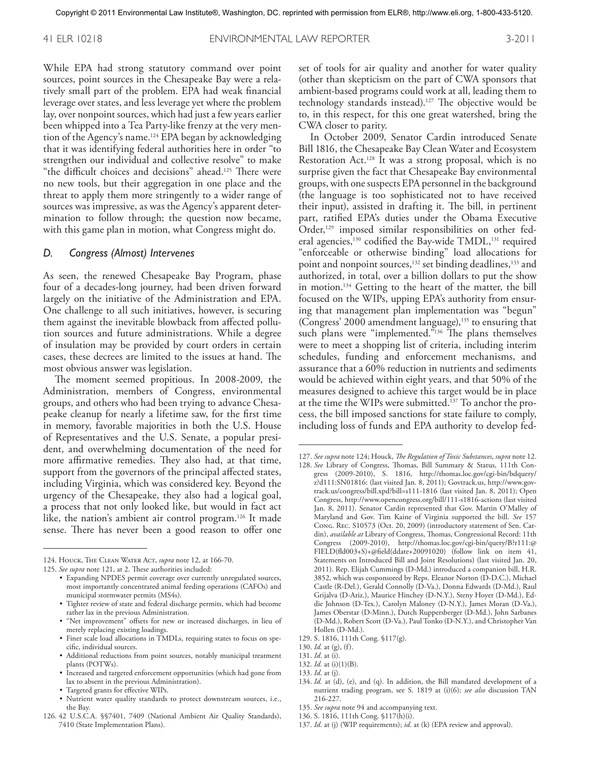While EPA had strong statutory command over point sources, point sources in the Chesapeake Bay were a relatively small part of the problem. EPA had weak financial leverage over states, and less leverage yet where the problem lay, over nonpoint sources, which had just a few years earlier been whipped into a Tea Party-like frenzy at the very mention of the Agency's name. 124 EPA began by acknowledging that it was identifying federal authorities here in order "to strengthen our individual and collective resolve" to make "the difficult choices and decisions" ahead. 125 There were no new tools, but their aggregation in one place and the threat to apply them more stringently to a wider range of sources was impressive, as was the Agency's apparent determination to follow through; the question now became, with this game plan in motion, what Congress might do.

#### *D. Congress (Almost) Intervenes*

As seen, the renewed Chesapeake Bay Program, phase four of a decades-long journey, had been driven forward largely on the initiative of the Administration and EPA. One challenge to all such initiatives, however, is securing them against the inevitable blowback from affected pollution sources and future administrations. While a degree of insulation may be provided by court orders in certain cases, these decrees are limited to the issues at hand. The most obvious answer was legislation.

The moment seemed propitious. In 2008-2009, the Administration, members of Congress, environmental groups, and others who had been trying to advance Chesapeake cleanup for nearly a lifetime saw, for the first time in memory, favorable majorities in both the U.S. House of Representatives and the U.S. Senate, a popular president, and overwhelming documentation of the need for more affirmative remedies. They also had, at that time, support from the governors of the principal affected states, including Virginia, which was considered key. Beyond the urgency of the Chesapeake, they also had a logical goal, a process that not only looked like, but would in fact act like, the nation's ambient air control program. 126 It made sense. There has never been a good reason to offer one

- "Net improvement" offsets for new or increased discharges, in lieu of merely replacing existing loadings.
- Finer scale load allocations in TMDLs, requiring states to focus on specific, individual sources.
- • Additional reductions from point sources, notably municipal treatment plants (POTWs).
- • Increased and targeted enforcement opportunities (which had gone from lax to absent in the previous Administration).
- • Targeted grants for effective WIPs.
- • Nutrient water quality standards to protect downstream sources, i.e., the Bay.
- 126. 42 U.S.C.A. §§7401, 7409 (National Ambient Air Quality Standards), 7410 (State Implementation Plans).

set of tools for air quality and another for water quality (other than skepticism on the part of CWA sponsors that ambient-based programs could work at all, leading them to technology standards instead). 127 The objective would be to, in this respect, for this one great watershed, bring the CWA closer to parity.

In October 2009, Senator Cardin introduced Senate Bill 1816, the Chesapeake Bay Clean Water and Ecosystem Restoration Act. 128 It was a strong proposal, which is no surprise given the fact that Chesapeake Bay environmental groups, with one suspects EPA personnel in the background (the language is too sophisticated not to have received their input), assisted in drafting it. The bill, in pertinent part, ratified EPA's duties under the Obama Executive Order,<sup>129</sup> imposed similar responsibilities on other federal agencies,<sup>130</sup> codified the Bay-wide TMDL,<sup>131</sup> required "enforceable or otherwise binding" load allocations for point and nonpoint sources,<sup>132</sup> set binding deadlines,<sup>133</sup> and authorized, in total, over a billion dollars to put the show in motion. 134 Getting to the heart of the matter, the bill focused on the WIPs, upping EPA's authority from ensuring that management plan implementation was "begun" (Congress' 2000 amendment language),<sup>135</sup> to ensuring that such plans were "implemented."<sup>136</sup> The plans themselves were to meet a shopping list of criteria, including interim schedules, funding and enforcement mechanisms, and assurance that a 60% reduction in nutrients and sediments would be achieved within eight years, and that 50% of the measures designed to achieve this target would be in place at the time the WIPs were submitted. 137 To anchor the process, the bill imposed sanctions for state failure to comply, including loss of funds and EPA authority to develop fed-

131. *Id*. at (i).

135. *See supra* note 94 and accompanying text.

137. *Id*. at (j) (WIP requirements); *id*. at (k) (EPA review and approval).

<sup>124.</sup> Houck, The Clean Water Act, *supra* note 12, at 166-70.

<sup>125.</sup> *See supra* note 121, at 2. These authorities included:

<sup>•</sup> Expanding NPDES permit coverage over currently unregulated sources, most importantly concentrated animal feeding operations (CAFOs) and municipal stormwater permits (MS4s).

<sup>•</sup>  Tighter review of state and federal discharge permits, which had become rather lax in the previous Administration.

<sup>127.</sup> *See supra* note 124; Houck, *The Regulation of Toxic Substances*, *supra* note 12. 128. *See* Library of Congress, Thomas, Bill Summary & Status, 111th Con-

gress (2009-2010), S. 1816, http://thomas.loc.gov/cgi-bin/bdquery/ z?d111:SN01816: (last visited Jan. 8, 2011); Govtrack.us, http://www.govtrack.us/congress/bill.xpd?bill=s111-1816 (last visited Jan. 8, 2011); Open Congress, http://www.opencongress.org/bill/111-s1816-actions (last visited Jan. 8, 2011). Senator Cardin represented that Gov. Martin O'Malley of Maryland and Gov. Tim Kaine of Virginia supported the bill. *See* 157 Cong. Rec. S10573 (Oct. 20, 2009) (introductory statement of Sen. Cardin), *available at* Library of Congress, Thomas, Congressional Record: 11th Congress (2009-2010), http://thomas.loc.gov/cgi-bin/query/B?r111:@ FIELD(fld003+S)+@field(ddate+20091020) (follow link on item 41, Statements on Introduced Bill and Joint Resolutions) (last visited Jan. 20, 2011). Rep. Elijah Cummings (D-Md.) introduced a companion bill, H.R. 3852, which was cosponsored by Reps. Eleanor Norton (D-D.C.), Michael Castle (R-Del.), Gerald Connolly (D-Va.), Donna Edwards (D-Md.), Raul Grijalva (D-Ariz.), Maurice Hinchey (D-N.Y.), Steny Hoyer (D-Md.), Eddie Johnson (D-Tex.), Carolyn Maloney (D-N.Y.), James Moran (D-Va.), James Oberstar (D-Minn.), Dutch Ruppersberger (D-Md.), John Sarbanes (D-Md.), Robert Scott (D-Va.), Paul Tonko (D-N.Y.), and Christopher Van Hollen (D-Md.).

<sup>129.</sup> S. 1816, 111th Cong. §117(g).

<sup>130.</sup> *Id.* at (g), (f).

<sup>132.</sup> *Id.* at (i)(1)(B).

<sup>133.</sup> *Id*. at (j).

<sup>134.</sup> *Id.* at (d), (e), and (q). In addition, the Bill mandated development of a nutrient trading program, see S. 1819 at (i)(6); *see also* discussion TAN 216-227.

<sup>136.</sup> S. 1816, 111th Cong. §117(h)(i).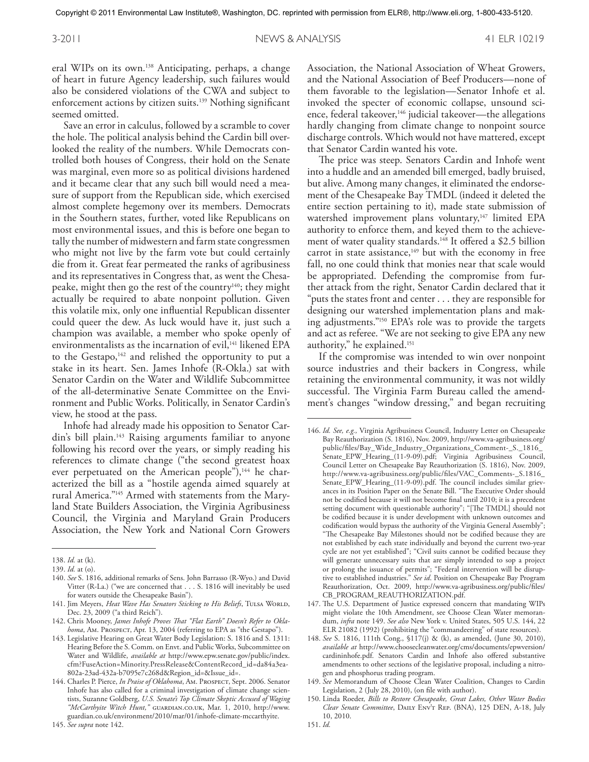eral WIPs on its own. 138 Anticipating, perhaps, a change of heart in future Agency leadership, such failures would also be considered violations of the CWA and subject to enforcement actions by citizen suits. 139 Nothing significant seemed omitted.

Save an error in calculus, followed by a scramble to cover the hole. The political analysis behind the Cardin bill overlooked the reality of the numbers. While Democrats controlled both houses of Congress, their hold on the Senate was marginal, even more so as political divisions hardened and it became clear that any such bill would need a measure of support from the Republican side, which exercised almost complete hegemony over its members. Democrats in the Southern states, further, voted like Republicans on most environmental issues, and this is before one began to tally the number of midwestern and farm state congressmen who might not live by the farm vote but could certainly die from it. Great fear permeated the ranks of agribusiness and its representatives in Congress that, as went the Chesapeake, might then go the rest of the country<sup>140</sup>; they might actually be required to abate nonpoint pollution. Given this volatile mix, only one influential Republican dissenter could queer the dew. As luck would have it, just such a champion was available, a member who spoke openly of environmentalists as the incarnation of evil,<sup>141</sup> likened EPA to the Gestapo,<sup>142</sup> and relished the opportunity to put a stake in its heart. Sen. James Inhofe (R-Okla.) sat with Senator Cardin on the Water and Wildlife Subcommittee of the all-determinative Senate Committee on the Environment and Public Works. Politically, in Senator Cardin's view, he stood at the pass.

Inhofe had already made his opposition to Senator Cardin's bill plain. 143 Raising arguments familiar to anyone following his record over the years, or simply reading his references to climate change ("the second greatest hoax ever perpetuated on the American people"),<sup>144</sup> he characterized the bill as a "hostile agenda aimed squarely at rural America."145 Armed with statements from the Maryland State Builders Association, the Virginia Agribusiness Council, the Virginia and Maryland Grain Producers Association, the New York and National Corn Growers

Association, the National Association of Wheat Growers, and the National Association of Beef Producers—none of them favorable to the legislation—Senator Inhofe et al. invoked the specter of economic collapse, unsound science, federal takeover,<sup>146</sup> judicial takeover—the allegations hardly changing from climate change to nonpoint source discharge controls. Which would not have mattered, except that Senator Cardin wanted his vote.

The price was steep. Senators Cardin and Inhofe went into a huddle and an amended bill emerged, badly bruised, but alive. Among many changes, it eliminated the endorsement of the Chesapeake Bay TMDL (indeed it deleted the entire section pertaining to it), made state submission of watershed improvement plans voluntary,<sup>147</sup> limited EPA authority to enforce them, and keyed them to the achievement of water quality standards. 148 It offered a \$2.5 billion carrot in state assistance,<sup>149</sup> but with the economy in free fall, no one could think that monies near that scale would be appropriated. Defending the compromise from further attack from the right, Senator Cardin declared that it "puts the states front and center ... they are responsible for designing our watershed implementation plans and making adjustments."150 EPA's role was to provide the targets and act as referee. "We are not seeking to give EPA any new authority," he explained. 151

If the compromise was intended to win over nonpoint source industries and their backers in Congress, while retaining the environmental community, it was not wildly successful. The Virginia Farm Bureau called the amendment's changes "window dressing," and began recruiting

<sup>138.</sup> *Id.* at (k).

<sup>139.</sup> *Id.* at (o).

<sup>140.</sup> *See* S. 1816, additional remarks of Sens. John Barrasso (R-Wyo.) and David Vitter (R-La.) ("we are concerned that ... S. 1816 will inevitably be used for waters outside the Chesapeake Basin").

<sup>141.</sup> Jim Meyers, *Heat Wave Has Senators Sticking to His Beliefs*, TULSA WORLD, Dec. 23, 2009 ("a third Reich").

<sup>142.</sup> Chris Mooney, *James Inhofe Proves That "Flat Earth" Doesn't Refer to Okla*homa, Am. PROSPECT, Apr. 13, 2004 (referring to EPA as "the Gestapo").

<sup>143.</sup> Legislative Hearing on Great Water Body Legislation: S. 1816 and S. 1311: Hearing Before the S. Comm. on Envt. and Public Works, Subcommittee on Water and Wildlife, *available at* http://www.epw.senate.gov/public/index. cfm?FuseAction=Minority.PressRelease&ContentRecord\_id=da84a3ea-802a-23ad-432a-b7095e7c268d&Region\_id=&Issue\_id=.

<sup>144.</sup> Charles P. Pierce, *In Praise of Oklahoma*, Am. Prospect, Sept. 2006. Senator Inhofe has also called for a criminal investigation of climate change scientists, Suzanne Goldberg, *U.S. Senate's Top Climate Skeptic Accused of Waging "McCarthyite Witch Hunt,"* guardian.co.uk, Mar. 1, 2010, http://www. guardian.co.uk/environment/2010/mar/01/inhofe-climate-mccarthyite.

<sup>146.</sup> *Id. See, e.g.,* Virginia Agribusiness Council, Industry Letter on Chesapeake Bay Reauthorization (S. 1816), Nov. 2009, http://www.va-agribusiness.org/ public/files/Bay\_Wide\_Industry\_Organizations\_Comment-\_S.\_1816\_ Senate\_EPW\_Hearing\_(11-9-09).pdf; Virginia Agribusiness Council, Council Letter on Chesapeake Bay Reauthorization (S. 1816), Nov. 2009, http://www.va-agribusiness.org/public/files/VAC\_Comments-\_S.1816\_ Senate\_EPW\_Hearing\_(11-9-09).pdf. The council includes similar grievances in its Position Paper on the Senate Bill. "The Executive Order should not be codified because it will not become final until 2010; it is a precedent setting document with questionable authority"; "[The TMDL] should not be codified because it is under development with unknown outcomes and codification would bypass the authority of the Virginia General Assembly"; "The Chesapeake Bay Milestones should not be codified because they are not established by each state individually and beyond the current two-year cycle are not yet established"; "Civil suits cannot be codified because they will generate unnecessary suits that are simply intended to sop a project or prolong the issuance of permits"; "Federal intervention will be disruptive to established industries." *See id*. Position on Chesapeake Bay Program Reauthorization, Oct. 2009, http://www.va-agribusiness.org/public/files/ CB\_PROGRAM\_REAUTHORIZATION.pdf.

<sup>147.</sup> The U.S. Department of Justice expressed concern that mandating WIPs might violate the 10th Amendment, see Choose Clean Water memorandum, *infra* note 149. *See also* New York v. United States, 505 U.S. 144, 22 ELR 21082 (1992) (prohibiting the "commandeering" of state resources).

<sup>148.</sup> *See* S. 1816, 111th Cong., §117(j) & (k), as amended, (June 30, 2010), *available at* http://www.choosecleanwater.org/cms/documents/epwversion/ cardininhofe.pdf. Senators Cardin and Inhofe also offered substantive amendments to other sections of the legislative proposal, including a nitrogen and phosphorus trading program.

<sup>149.</sup> *See* Memorandum of Choose Clean Water Coalition, Changes to Cardin Legislation, 2 (July 28, 2010), (on file with author).

<sup>150.</sup> Linda Roeder, *Bills to Restore Chesapeake, Great Lakes, Other Water Bodies Clear Senate Committee*, Daily Env't Rep. (BNA), 125 DEN, A-18, July 10, 2010.

<sup>151.</sup> *Id.*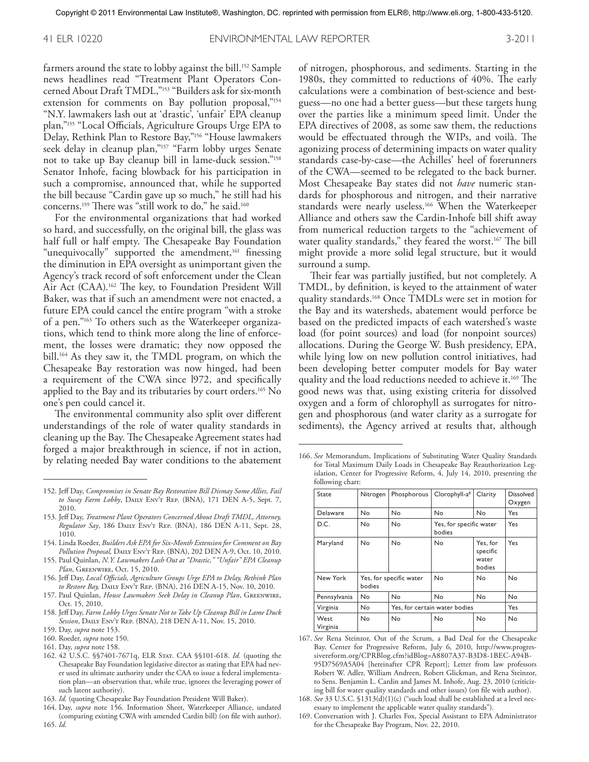farmers around the state to lobby against the bill. 152 Sample news headlines read "Treatment Plant Operators Concerned About Draft TMDL,"153 "Builders ask for six-month extension for comments on Bay pollution proposal,"<sup>154</sup> "N.Y. lawmakers lash out at 'drastic', 'unfair' EPA cleanup plan,"155 "Local Officials, Agriculture Groups Urge EPA to Delay, Rethink Plan to Restore Bay,"156 "House lawmakers seek delay in cleanup plan,"<sup>157</sup> "Farm lobby urges Senate not to take up Bay cleanup bill in lame-duck session."158 Senator Inhofe, facing blowback for his participation in such a compromise, announced that, while he supported the bill because "Cardin gave up so much," he still had his concerns. 159 There was "still work to do," he said. 160

For the environmental organizations that had worked so hard, and successfully, on the original bill, the glass was half full or half empty. The Chesapeake Bay Foundation "unequivocally" supported the amendment,<sup>161</sup> finessing the diminution in EPA oversight as unimportant given the Agency's track record of soft enforcement under the Clean Air Act (CAA). 162 The key, to Foundation President Will Baker, was that if such an amendment were not enacted, a future EPA could cancel the entire program "with a stroke of a pen."163 To others such as the Waterkeeper organizations, which tend to think more along the line of enforcement, the losses were dramatic; they now opposed the bill. 164 As they saw it, the TMDL program, on which the Chesapeake Bay restoration was now hinged, had been a requirement of the CWA since l972, and specifically applied to the Bay and its tributaries by court orders. 165 No one's pen could cancel it.

The environmental community also split over different understandings of the role of water quality standards in cleaning up the Bay. The Chesapeake Agreement states had forged a major breakthrough in science, if not in action, by relating needed Bay water conditions to the abatement

of nitrogen, phosphorous, and sediments. Starting in the 1980s, they committed to reductions of 40%. The early calculations were a combination of best-science and bestguess—no one had a better guess—but these targets hung over the parties like a minimum speed limit. Under the EPA directives of 2008, as some saw them, the reductions would be effectuated through the WIPs, and voilà. The agonizing process of determining impacts on water quality standards case-by-case—the Achilles' heel of forerunners of the CWA—seemed to be relegated to the back burner. Most Chesapeake Bay states did not *have* numeric standards for phosphorous and nitrogen, and their narrative standards were nearly useless. 166 When the Waterkeeper Alliance and others saw the Cardin-Inhofe bill shift away from numerical reduction targets to the "achievement of water quality standards," they feared the worst. 167 The bill might provide a more solid legal structure, but it would surround a sump.

Their fear was partially justified, but not completely. A TMDL, by definition, is keyed to the attainment of water quality standards. 168 Once TMDLs were set in motion for the Bay and its watersheds, abatement would perforce be based on the predicted impacts of each watershed's waste load (for point sources) and load (for nonpoint sources) allocations. During the George W. Bush presidency, EPA, while lying low on new pollution control initiatives, had been developing better computer models for Bay water quality and the load reductions needed to achieve it. 169 The good news was that, using existing criteria for dissolved oxygen and a form of chlorophyll as surrogates for nitrogen and phosphorous (and water clarity as a surrogate for sediments), the Agency arrived at results that, although

166. *See* Memorandum, Implications of Substituting Water Quality Standards for Total Maximum Daily Loads in Chesapeake Bay Reauthorization Legislation, Center for Progressive Reform, 4, July 14, 2010, presenting the following chart:

| State            | Nitrogen                          | Phosphorous                   | Clorophyll-a <sup>8</sup>         | Clarity                                 | <b>Dissolved</b><br>Oxygen |
|------------------|-----------------------------------|-------------------------------|-----------------------------------|-----------------------------------------|----------------------------|
| Delaware         | No                                | No                            | No                                | No                                      | Yes                        |
| D.C.             | No                                | No                            | Yes, for specific water<br>bodies |                                         | <b>Yes</b>                 |
| Maryland         | No                                | No                            | No                                | Yes, for<br>specific<br>water<br>bodies | Yes                        |
| New York         | Yes, for specific water<br>bodies |                               | No                                | No                                      | No                         |
| Pennsylvania     | No                                | No                            | No                                | No                                      | No                         |
| Virginia         | No                                | Yes, for certain water bodies |                                   |                                         | <b>Yes</b>                 |
| West<br>Virginia | No                                | No                            | No                                | No                                      | No                         |

<sup>167.</sup> *See* Rena Steinzor, Out of the Scrum, a Bad Deal for the Chesapeake Bay, Center for Progressive Reform, July 6, 2010, http://www.progressivereform.org/CPRBlog.cfm?idBlog=A8807A37-B3D8-1BEC-A94B-95D7569A5A04 [hereinafter CPR Report]; Letter from law professors Robert W. Adler, William Andreen, Robert Glickman, and Rena Steinzor, to Sens. Benjamin L. Cardin and James M. Inhofe, Aug. 23, 2010 (criticizing bill for water quality standards and other issues) (on file with author).

<sup>152.</sup> Jeff Day, *Compromises in Senate Bay Restoration Bill Dismay Some Allies, Fail to Sway Farm Lobby*, Daily Env't Rep. (BNA), 171 DEN A-5, Sept. 7, 2010.

<sup>153.</sup> Jeff Day, *Treatment Plant Operators Concerned About Draft TMDL, Attorney, Regulator Say*, 186 Daily Env't Rep. (BNA), 186 DEN A-11, Sept. 28, 1010.

<sup>154.</sup> Linda Roeder, *Builders Ask EPA for Six-Month Extension for Comment on Bay Pollution Proposal,* Daily Env't Rep. (BNA), 202 DEN A-9, Oct. 10, 2010.

<sup>155.</sup> Paul Quinlan, *N.Y. Lawmakers Lash Out at "Drastic," "Unfair" EPA Cleanup Plan*, Greenwire, Oct. 15, 2010.

<sup>156.</sup> Jeff Day, *Local Officials, Agriculture Groups Urge EPA to Delay, Rethink Plan to Restore Bay,* Daily Env't Rep. (BNA), 216 DEN A-15, Nov. 10, 2010.

<sup>157.</sup> Paul Quinlan, *House Lawmakers Seek Delay in Cleanup Plan*, Greenwire, Oct. 15, 2010.

<sup>158.</sup> Jeff Day, *Farm Lobby Urges Senate Not to Take Up Cleanup Bill in Lame Duck Session*, Daily Env't Rep. (BNA), 218 DEN A-11, Nov. 15, 2010.

<sup>159.</sup> Day, *supra* note 153.

<sup>160.</sup> Roeder, *supra* note 150.

<sup>161.</sup> Day, *supra* note 158.

<sup>162.</sup> 42 U.S.C. §§7401-7671q, ELR Stat. CAA §§101-618. *Id.* (quoting the Chesapeake Bay Foundation legislative director as stating that EPA had never used its ultimate authority under the CAA to issue a federal implementation plan—an observation that, while true, ignores the leveraging power of such latent authority).

<sup>163.</sup> *Id.* (quoting Chesapeake Bay Foundation President Will Baker).

<sup>164.</sup> Day, *supra* note 156. Information Sheet, Waterkeeper Alliance, undated (comparing existing CWA with amended Cardin bill) (on file with author). 165. *Id.*

<sup>168.</sup> *See* 33 U.S.C. §1313(d)(1)(c) ("such load shall be established at a level necessary to implement the applicable water quality standards").

<sup>169.</sup> Conversation with J. Charles Fox, Special Assistant to EPA Administrator for the Chesapeake Bay Program, Nov. 22, 2010.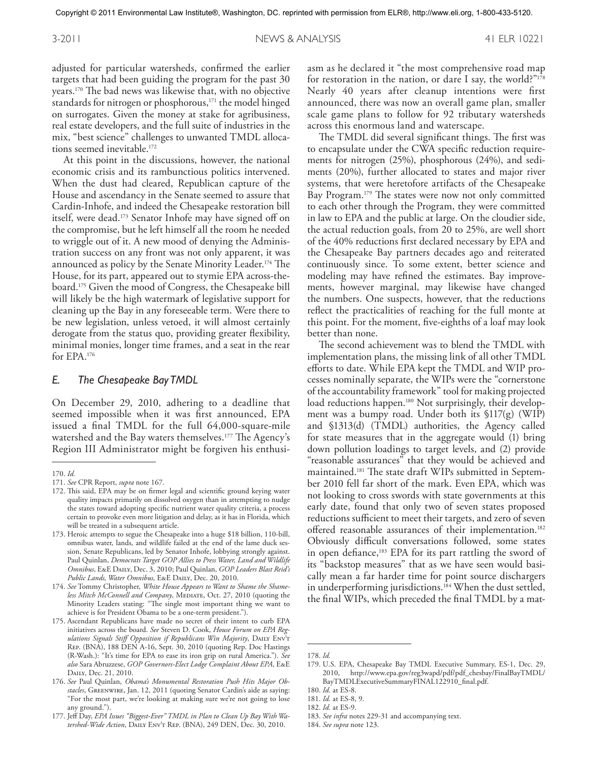adjusted for particular watersheds, confirmed the earlier targets that had been guiding the program for the past 30 years. 170 The bad news was likewise that, with no objective standards for nitrogen or phosphorous,<sup>171</sup> the model hinged on surrogates. Given the money at stake for agribusiness, real estate developers, and the full suite of industries in the mix, "best science" challenges to unwanted TMDL allocations seemed inevitable. 172

At this point in the discussions, however, the national economic crisis and its rambunctious politics intervened. When the dust had cleared, Republican capture of the House and ascendancy in the Senate seemed to assure that Cardin-Inhofe, and indeed the Chesapeake restoration bill itself, were dead. 173 Senator Inhofe may have signed off on the compromise, but he left himself all the room he needed to wriggle out of it. A new mood of denying the Administration success on any front was not only apparent, it was announced as policy by the Senate Minority Leader. 174 The House, for its part, appeared out to stymie EPA across-theboard. 175 Given the mood of Congress, the Chesapeake bill will likely be the high watermark of legislative support for cleaning up the Bay in any foreseeable term. Were there to be new legislation, unless vetoed, it will almost certainly derogate from the status quo, providing greater flexibility, minimal monies, longer time frames, and a seat in the rear for EPA. 176

#### *E. The Chesapeake Bay TMDL*

On December 29, 2010, adhering to a deadline that seemed impossible when it was first announced, EPA issued a final TMDL for the full 64,000-square-mile watershed and the Bay waters themselves. 177 The Agency's Region III Administrator might be forgiven his enthusi-

asm as he declared it "the most comprehensive road map for restoration in the nation, or dare I say, the world?"178 Nearly 40 years after cleanup intentions were first announced, there was now an overall game plan, smaller scale game plans to follow for 92 tributary watersheds across this enormous land and waterscape.

The TMDL did several significant things. The first was to encapsulate under the CWA specific reduction requirements for nitrogen (25%), phosphorous (24%), and sediments (20%), further allocated to states and major river systems, that were heretofore artifacts of the Chesapeake Bay Program. 179 The states were now not only committed to each other through the Program, they were committed in law to EPA and the public at large. On the cloudier side, the actual reduction goals, from 20 to 25%, are well short of the 40% reductions first declared necessary by EPA and the Chesapeake Bay partners decades ago and reiterated continuously since. To some extent, better science and modeling may have refined the estimates. Bay improvements, however marginal, may likewise have changed the numbers. One suspects, however, that the reductions reflect the practicalities of reaching for the full monte at this point. For the moment, five-eighths of a loaf may look better than none.

The second achievement was to blend the TMDL with implementation plans, the missing link of all other TMDL efforts to date. While EPA kept the TMDL and WIP processes nominally separate, the WIPs were the "cornerstone of the accountability framework" tool for making projected load reductions happen. 180 Not surprisingly, their development was a bumpy road. Under both its §117(g) (WIP) and §1313(d) (TMDL) authorities, the Agency called for state measures that in the aggregate would (1) bring down pollution loadings to target levels, and (2) provide "reasonable assurances" that they would be achieved and maintained. 181 The state draft WIPs submitted in September 2010 fell far short of the mark. Even EPA, which was not looking to cross swords with state governments at this early date, found that only two of seven states proposed reductions sufficient to meet their targets, and zero of seven offered reasonable assurances of their implementation. 182 Obviously difficult conversations followed, some states in open defiance,<sup>183</sup> EPA for its part rattling the sword of its "backstop measures" that as we have seen would basically mean a far harder time for point source dischargers in underperforming jurisdictions. 184 When the dust settled, the final WIPs, which preceded the final TMDL by a mat-

<sup>170.</sup> *Id.*

<sup>171.</sup> *See* CPR Report, *supra* note 167.

<sup>172.</sup> This said, EPA may be on firmer legal and scientific ground keying water quality impacts primarily on dissolved oxygen than in attempting to nudge the states toward adopting specific nutrient water quality criteria, a process certain to provoke even more litigation and delay, as it has in Florida, which will be treated in a subsequent article.

<sup>173.</sup> Heroic attempts to segue the Chesapeake into a huge \$18 billion, 110-bill, omnibus water, lands, and wildlife failed at the end of the lame duck session, Senate Republicans, led by Senator Inhofe, lobbying strongly against. Paul Quinlan, *Democrats Target GOP Allies to Press Water, Land and Wildlife Omnibus*, E&E Daily, Dec. 3, 2010; Paul Quinlan, *GOP Leaders Blast Reid's Public Lands, Water Omnibus,* E&E Daily, Dec. 20, 2010.

<sup>174.</sup> *See* Tommy Christopher, *White House Appears to Want to Shame the Shame*less Mitch McConnell and Company, MEDIATE, Oct. 27, 2010 (quoting the Minority Leaders stating: "The single most important thing we want to achieve is for President Obama to be a one-term president.").

<sup>175.</sup> Ascendant Republicans have made no secret of their intent to curb EPA initiatives across the board. *See* Steven D. Cook, *House Forum on EPA Regulations Signals Stiff Opposition if Republicans Win Majority*, Daily Env't Rep. (BNA), 188 DEN A-16, Sept. 30, 2010 (quoting Rep. Doc Hastings (R-Wash.): "It's time for EPA to ease its iron grip on rural America."). *See also* Sara Abruzzese, *GOP Governors-Elect Lodge Complaint About EPA*, E&E DAILY, Dec. 21, 2010.

<sup>176.</sup> *See* Paul Quinlan, *Obama's Monumental Restoration Push Hits Major Obstacles*, Greenwire, Jan. 12, 2011 (quoting Senator Cardin's aide as saying: "For the most part, we're looking at making sure we're not going to lose any ground.").

<sup>177.</sup> Jeff Day, *EPA Issues "Biggest-Ever" TMDL in Plan to Clean Up Bay With Watershed-Wide Action*, Daily Env't Rep. (BNA), 249 DEN, Dec. 30, 2010.

<sup>178.</sup> *Id.*

<sup>179.</sup> U.S. EPA, Chesapeake Bay TMDL Executive Summary, ES-1, Dec. 29, 2010, http://www.epa.gov/reg3wapd/pdf/pdf\_chesbay/FinalBayTMDL/ BayTMDLExecutiveSummaryFINAL122910\_final.pdf.

<sup>180.</sup> *Id.* at ES-8.

<sup>181.</sup> *Id.* at ES-8, 9.

<sup>182.</sup> *Id.* at ES-9.

<sup>183.</sup> *See infra* notes 229-31 and accompanying text.

<sup>184.</sup> *See supra* note 123.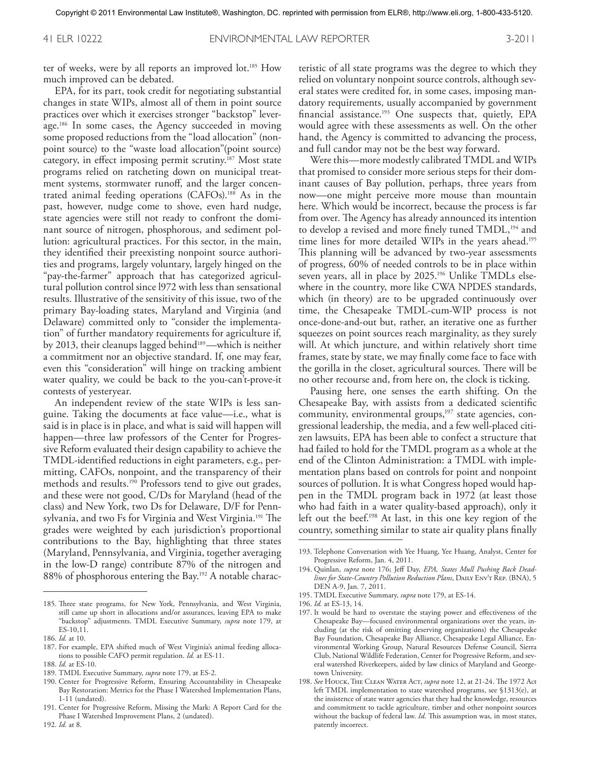41 ELR 10222 ENVIRONMENTAL LAW REPORTER 3-2011

ter of weeks, were by all reports an improved lot. 185 How much improved can be debated.

EPA, for its part, took credit for negotiating substantial changes in state WIPs, almost all of them in point source practices over which it exercises stronger "backstop" leverage. 186 In some cases, the Agency succeeded in moving some proposed reductions from the "load allocation" (nonpoint source) to the "waste load allocation"(point source) category, in effect imposing permit scrutiny. 187 Most state programs relied on ratcheting down on municipal treatment systems, stormwater runoff, and the larger concentrated animal feeding operations (CAFOs). 188 As in the past, however, nudge come to shove, even hard nudge, state agencies were still not ready to confront the dominant source of nitrogen, phosphorous, and sediment pollution: agricultural practices. For this sector, in the main, they identified their preexisting nonpoint source authorities and programs, largely voluntary, largely hinged on the "pay-the-farmer" approach that has categorized agricultural pollution control since l972 with less than sensational results. Illustrative of the sensitivity of this issue, two of the primary Bay-loading states, Maryland and Virginia (and Delaware) committed only to "consider the implementation" of further mandatory requirements for agriculture if, by 2013, their cleanups lagged behind<sup>189</sup>—which is neither a commitment nor an objective standard. If, one may fear, even this "consideration" will hinge on tracking ambient water quality, we could be back to the you-can't-prove-it contests of yesteryear.

An independent review of the state WIPs is less sanguine. Taking the documents at face value—i.e., what is said is in place is in place, and what is said will happen will happen—three law professors of the Center for Progressive Reform evaluated their design capability to achieve the TMDL-identified reductions in eight parameters, e.g., permitting, CAFOs, nonpoint, and the transparency of their methods and results. 190 Professors tend to give out grades, and these were not good, C/Ds for Maryland (head of the class) and New York, two Ds for Delaware, D/F for Pennsylvania, and two Fs for Virginia and West Virginia. 191 The grades were weighted by each jurisdiction's proportional contributions to the Bay, highlighting that three states (Maryland, Pennsylvania, and Virginia, together averaging in the low-D range) contribute 87% of the nitrogen and 88% of phosphorous entering the Bay. 192 A notable characteristic of all state programs was the degree to which they relied on voluntary nonpoint source controls, although several states were credited for, in some cases, imposing mandatory requirements, usually accompanied by government financial assistance. 193 One suspects that, quietly, EPA would agree with these assessments as well. On the other hand, the Agency is committed to advancing the process, and full candor may not be the best way forward.

Were this—more modestly calibrated TMDL and WIPs that promised to consider more serious steps for their dominant causes of Bay pollution, perhaps, three years from now—one might perceive more mouse than mountain here. Which would be incorrect, because the process is far from over. The Agency has already announced its intention to develop a revised and more finely tuned TMDL,<sup>194</sup> and time lines for more detailed WIPs in the years ahead. 195 This planning will be advanced by two-year assessments of progress, 60% of needed controls to be in place within seven years, all in place by 2025. 196 Unlike TMDLs elsewhere in the country, more like CWA NPDES standards, which (in theory) are to be upgraded continuously over time, the Chesapeake TMDL-cum-WIP process is not once-done-and-out but, rather, an iterative one as further squeezes on point sources reach marginality, as they surely will. At which juncture, and within relatively short time frames, state by state, we may finally come face to face with the gorilla in the closet, agricultural sources. There will be no other recourse and, from here on, the clock is ticking.

Pausing here, one senses the earth shifting. On the Chesapeake Bay, with assists from a dedicated scientific community, environmental groups,<sup>197</sup> state agencies, congressional leadership, the media, and a few well-placed citizen lawsuits, EPA has been able to confect a structure that had failed to hold for the TMDL program as a whole at the end of the Clinton Administration: a TMDL with implementation plans based on controls for point and nonpoint sources of pollution. It is what Congress hoped would happen in the TMDL program back in 1972 (at least those who had faith in a water quality-based approach), only it left out the beef. 198 At last, in this one key region of the country, something similar to state air quality plans finally

195. TMDL Executive Summary, *supra* note 179, at ES-14.

- 197. It would be hard to overstate the staying power and effectiveness of the Chesapeake Bay—focused environmental organizations over the years, including (at the risk of omitting deserving organizations) the Chesapeake Bay Foundation, Chesapeake Bay Alliance, Chesapeake Legal Alliance, Environmental Working Group, Natural Resources Defense Council, Sierra Club, National Wildlife Federation, Center for Progressive Reform, and several watershed Riverkeepers, aided by law clinics of Maryland and Georgetown University.
- 198. *See* Houck, The Clean Water Act, *supra* note 12, at 21-24. The 1972 Act left TMDL implementation to state watershed programs, see §1313(e), at the insistence of state water agencies that they had the knowledge, resources and commitment to tackle agriculture, timber and other nonpoint sources without the backup of federal law. *Id*. This assumption was, in most states, patently incorrect.

<sup>185.</sup> Three state programs, for New York, Pennsylvania, and West Virginia, still came up short in allocations and/or assurances, leaving EPA to make "backstop" adjustments. TMDL Executive Summary, *supra* note 179, at ES-10,11.

<sup>186.</sup> *Id.* at 10.

<sup>187.</sup> For example, EPA shifted much of West Virginia's animal feeding allocations to possible CAFO permit regulation. *Id.* at ES-11.

<sup>188.</sup> *Id.* at ES-10.

<sup>189.</sup> TMDL Executive Summary, *supra* note 179, at ES-2.

<sup>190.</sup> Center for Progressive Reform, Ensuring Accountability in Chesapeake Bay Restoration: Metrics for the Phase I Watershed Implementation Plans, 1-11 (undated).

<sup>191.</sup> Center for Progressive Reform, Missing the Mark: A Report Card for the Phase I Watershed Improvement Plans, 2 (undated).

<sup>193.</sup> Telephone Conversation with Yee Huang, Yee Huang, Analyst, Center for Progressive Reform, Jan. 4, 2011.

<sup>194.</sup> Quinlan, *supra* note 176; Jeff Day, *EPA, States Mull Pushing Back Deadlines for State-Country Pollution Reduction Plans*, DAILY ENV'T REP. (BNA), 5 DEN A-9, Jan. 7, 2011.

<sup>196.</sup> *Id.* at ES-13, 14.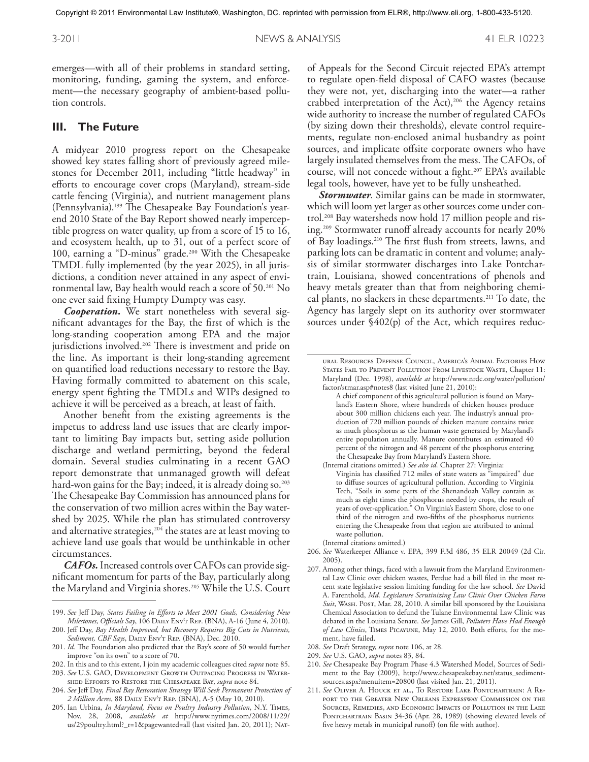emerges—with all of their problems in standard setting, monitoring, funding, gaming the system, and enforcement—the necessary geography of ambient-based pollution controls.

#### **III. The Future**

A midyear 2010 progress report on the Chesapeake showed key states falling short of previously agreed milestones for December 2011, including "little headway" in efforts to encourage cover crops (Maryland), stream-side cattle fencing (Virginia), and nutrient management plans (Pennsylvania). 199 The Chesapeake Bay Foundation's yearend 2010 State of the Bay Report showed nearly imperceptible progress on water quality, up from a score of 15 to 16, and ecosystem health, up to 31, out of a perfect score of 100, earning a "D-minus" grade. 200 With the Chesapeake TMDL fully implemented (by the year 2025), in all jurisdictions, a condition never attained in any aspect of environmental law, Bay health would reach a score of 50. 201 No one ever said fixing Humpty Dumpty was easy.

*Cooperation.* We start nonetheless with several significant advantages for the Bay, the first of which is the long-standing cooperation among EPA and the major jurisdictions involved. 202 There is investment and pride on the line. As important is their long-standing agreement on quantified load reductions necessary to restore the Bay. Having formally committed to abatement on this scale, energy spent fighting the TMDLs and WIPs designed to achieve it will be perceived as a breach, at least of faith.

Another benefit from the existing agreements is the impetus to address land use issues that are clearly important to limiting Bay impacts but, setting aside pollution discharge and wetland permitting, beyond the federal domain. Several studies culminating in a recent GAO report demonstrate that unmanaged growth will defeat hard-won gains for the Bay; indeed, it is already doing so. 203 The Chesapeake Bay Commission has announced plans for the conservation of two million acres within the Bay watershed by 2025. While the plan has stimulated controversy and alternative strategies,<sup>204</sup> the states are at least moving to achieve land use goals that would be unthinkable in other circumstances.

*CAFOs.* Increased controls over CAFOs can provide significant momentum for parts of the Bay, particularly along the Maryland and Virginia shores. 205 While the U.S. Court

of Appeals for the Second Circuit rejected EPA's attempt to regulate open-field disposal of CAFO wastes (because they were not, yet, discharging into the water—a rather crabbed interpretation of the Act),<sup>206</sup> the Agency retains wide authority to increase the number of regulated CAFOs (by sizing down their thresholds), elevate control requirements, regulate non-enclosed animal husbandry as point sources, and implicate offsite corporate owners who have largely insulated themselves from the mess. The CAFOs, of course, will not concede without a fight. 207 EPA's available legal tools, however, have yet to be fully unsheathed.

*Stormwater.* Similar gains can be made in stormwater, which will loom yet larger as other sources come under control. 208 Bay watersheds now hold 17 million people and rising. 209 Stormwater runoff already accounts for nearly 20% of Bay loadings. 210 The first flush from streets, lawns, and parking lots can be dramatic in content and volume; analysis of similar stormwater discharges into Lake Pontchartrain, Louisiana, showed concentrations of phenols and heavy metals greater than that from neighboring chemical plants, no slackers in these departments. 211 To date, the Agency has largely slept on its authority over stormwater sources under  $\frac{6402(p)}{p}$  of the Act, which requires reduc-

- 206. *See* Waterkeeper Alliance v. EPA, 399 F.3d 486, 35 ELR 20049 (2d Cir. 2005).
- 207. Among other things, faced with a lawsuit from the Maryland Environmental Law Clinic over chicken wastes, Perdue had a bill filed in the most recent state legislative session limiting funding for the law school. *See* David A. Farenthold, *Md. Legislature Scrutinizing Law Clinic Over Chicken Farm*  Suit, WASH. Post, Mar. 28, 2010. A similar bill sponsored by the Louisiana Chemical Association to defund the Tulane Environmental Law Clinic was debated in the Louisiana Senate. *See* James Gill, *Polluters Have Had Enough of Law Clinics*, Times Picayune, May 12, 2010. Both efforts, for the moment, have failed.

- 210. *See* Chesapeake Bay Program Phase 4.3 Watershed Model, Sources of Sediment to the Bay (2009), http://www.chesapeakebay.net/status\_sedimentsources.aspx?menuitem=20800 (last visited Jan. 21, 2011).
- 211. *See* Oliver A. Houck et al., To Restore Lake Pontchartrain: A Report to the Greater New Orleans Expressway Commission on the Sources, Remedies, and Economic Impacts of Pollution in the Lake PONTCHARTRAIN BASIN 34-36 (Apr. 28, 1989) (showing elevated levels of five heavy metals in municipal runoff) (on file with author).

<sup>199.</sup> *See* Jeff Day, *States Failing in Efforts to Meet 2001 Goals, Considering New Milestones, Officials Say*, 106 Daily Env't Rep. (BNA), A-16 (June 4, 2010).

<sup>200.</sup> Jeff Day, *Bay Health Improved, but Recovery Requires Big Cuts in Nutrients, Sediment, CBF Says*, Daily Env't Rep. (BNA), Dec. 2010.

<sup>201.</sup> *Id.* The Foundation also predicted that the Bay's score of 50 would further improve "on its own" to a score of 70.

<sup>202.</sup> In this and to this extent, I join my academic colleagues cited *supra* note 85. 203. *See* U.S. GAO, Development Growth Outpacing Progress in Water-

shed Efforts to Restore the Chesapeake Bay, *supra* note 84.

<sup>204.</sup> *See* Jeff Day, *Final Bay Restoration Strategy Will Seek Permanent Protection of 2 Million Acres*, 88 Daily Env't Rep. (BNA), A-5 (May 10, 2010).

<sup>205.</sup> Ian Urbina, *In Maryland, Focus on Poultry Industry Pollution*, N.Y. Times, Nov. 28, 2008, *available at* http://www.nytimes.com/2008/11/29/ us/29poultry.html?\_r=1&pagewanted=all (last visited Jan. 20, 2011); Nat-

ural Resources Defense Council, America's Animal Factories How STATES FAIL TO PREVENT POLLUTION FROM LIVESTOCK WASTE, Chapter 11: Maryland (Dec. 1998), *available at* http://www.nrdc.org/water/pollution/ factor/stmar.asp#notes8 (last visited June 21, 2010):

A chief component of this agricultural pollution is found on Maryland's Eastern Shore, where hundreds of chicken houses produce about 300 million chickens each year. The industry's annual production of 720 million pounds of chicken manure contains twice as much phosphorus as the human waste generated by Maryland's entire population annually. Manure contributes an estimated 40 percent of the nitrogen and 48 percent of the phosphorus entering the Chesapeake Bay from Maryland's Eastern Shore.

<sup>(</sup>Internal citations omitted.) *See also id.* Chapter 27: Virginia: Virginia has classified 712 miles of state waters as "impaired" due to diffuse sources of agricultural pollution. According to Virginia Tech, "Soils in some parts of the Shenandoah Valley contain as much as eight times the phosphorus needed by crops, the result of years of over-application." On Virginia's Eastern Shore, close to one third of the nitrogen and two-fifths of the phosphorus nutrients entering the Chesapeake from that region are attributed to animal waste pollution.

<sup>(</sup>Internal citations omitted.)

<sup>208.</sup> *See* Draft Strategy, *supra* note 106, at 28.

<sup>209.</sup> *See* U.S. GAO, *supra* notes 83, 84.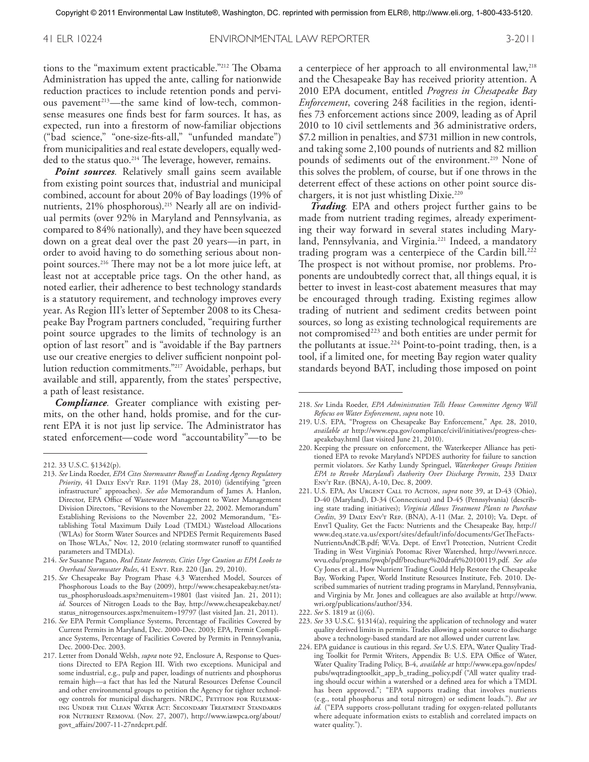41 ELR 10224 ENVIRONMENTAL LAW REPORTER 3-2011

tions to the "maximum extent practicable."212 The Obama Administration has upped the ante, calling for nationwide reduction practices to include retention ponds and pervious pavement<sup>213</sup>—the same kind of low-tech, commonsense measures one finds best for farm sources. It has, as expected, run into a firestorm of now-familiar objections ("bad science," "one-size-fits-all," "unfunded mandate") from municipalities and real estate developers, equally wedded to the status quo. 214 The leverage, however, remains.

*Point sources.* Relatively small gains seem available from existing point sources that, industrial and municipal combined, account for about 20% of Bay loadings (19% of nutrients, 21% phosphorous). 215 Nearly all are on individual permits (over 92% in Maryland and Pennsylvania, as compared to 84% nationally), and they have been squeezed down on a great deal over the past 20 years—in part, in order to avoid having to do something serious about nonpoint sources. 216 There may not be a lot more juice left, at least not at acceptable price tags. On the other hand, as noted earlier, their adherence to best technology standards is a statutory requirement, and technology improves every year. As Region III's letter of September 2008 to its Chesapeake Bay Program partners concluded, "requiring further point source upgrades to the limits of technology is an option of last resort" and is "avoidable if the Bay partners use our creative energies to deliver sufficient nonpoint pollution reduction commitments."217 Avoidable, perhaps, but available and still, apparently, from the states' perspective, a path of least resistance.

*Compliance.* Greater compliance with existing permits, on the other hand, holds promise, and for the current EPA it is not just lip service. The Administrator has stated enforcement—code word "accountability"—to be a centerpiece of her approach to all environmental law,<sup>218</sup> and the Chesapeake Bay has received priority attention. A 2010 EPA document, entitled *Progress in Chesapeake Bay Enforcement*, covering 248 facilities in the region, identifies 73 enforcement actions since 2009, leading as of April 2010 to 10 civil settlements and 36 administrative orders, \$7.2 million in penalties, and \$731 million in new controls, and taking some 2,100 pounds of nutrients and 82 million pounds of sediments out of the environment. 219 None of this solves the problem, of course, but if one throws in the deterrent effect of these actions on other point source dischargers, it is not just whistling Dixie. 220

*Trading.* EPA and others project further gains to be made from nutrient trading regimes, already experimenting their way forward in several states including Maryland, Pennsylvania, and Virginia. 221 Indeed, a mandatory trading program was a centerpiece of the Cardin bill. 222 The prospect is not without promise, nor problems. Proponents are undoubtedly correct that, all things equal, it is better to invest in least-cost abatement measures that may be encouraged through trading. Existing regimes allow trading of nutrient and sediment credits between point sources, so long as existing technological requirements are not compromised<sup>223</sup> and both entities are under permit for the pollutants at issue. 224 Point-to-point trading, then, is a tool, if a limited one, for meeting Bay region water quality standards beyond BAT, including those imposed on point

- 222. *See* S. 1819 at (i)(6).
- 223. *See* 33 U.S.C. §1314(a), requiring the application of technology and water quality derived limits in permits. Trades allowing a point source to discharge above a technology-based standard are not allowed under current law.
- 224. EPA guidance is cautious in this regard. *See* U.S. EPA, Water Quality Trading Toolkit for Permit Writers, Appendix B: U.S. EPA Office of Water, Water Quality Trading Policy, B-4, *available at* http://www.epa.gov/npdes/ pubs/wqtradingtoolkit\_app\_b\_trading\_policy.pdf ("All water quality trading should occur within a watershed or a defined area for which a TMDL has been approved."; "EPA supports trading that involves nutrients (e.g., total phosphorus and total nitrogen) or sediment loads."). *But see id.* ("EPA supports cross-pollutant trading for oxygen-related pollutants where adequate information exists to establish and correlated impacts on water quality.").

<sup>212.</sup> 33 U.S.C. §1342(p).

<sup>213.</sup> *See* Linda Roeder, *EPA Cites Stormwater Runoff as Leading Agency Regulatory*  Priority, 41 DAILY ENVT REP. 1191 (May 28, 2010) (identifying "green infrastructure" approaches). *See also* Memorandum of James A. Hanlon, Director, EPA Office of Wastewater Management to Water Management Division Directors, "Revisions to the November 22, 2002. Memorandum" Establishing Revisions to the November 22, 2002 Memorandum, "Establishing Total Maximum Daily Load (TMDL) Wasteload Allocations (WLAs) for Storm Water Sources and NPDES Permit Requirements Based on Those WLAs," Nov. 12, 2010 (relating stormwater runoff to quantified parameters and TMDLs).

<sup>214.</sup> *See* Susanne Pagano, *Real Estate Interests, Cities Urge Caution as EPA Looks to Overhaul Stormwater Rules*, 41 Envt. Rep. 220 (Jan. 29, 2010).

<sup>215.</sup> *See* Chesapeake Bay Program Phase 4.3 Watershed Model, Sources of Phosphorous Loads to the Bay (2009), http://www.chesapeakebay.net/status\_phosphorusloads.aspx?menuitem=19801 (last visited Jan. 21, 2011); *id.* Sources of Nitrogen Loads to the Bay, http://www.chesapeakebay.net/ status\_nitrogensources.aspx?menuitem=19797 (last visited Jan. 21, 2011).

<sup>216.</sup> *See* EPA Permit Compliance Systems, Percentage of Facilities Covered by Current Permits in Maryland, Dec. 2000-Dec. 2003; EPA, Permit Compliance Systems, Percentage of Facilities Covered by Permits in Pennsylvania, Dec. 2000-Dec. 2003.

<sup>217.</sup> Letter from Donald Welsh, *supra* note 92, Enclosure A, Response to Questions Directed to EPA Region III. With two exceptions. Municipal and some industrial, e.g., pulp and paper, loadings of nutrients and phosphorus remain high—a fact that has led the Natural Resources Defense Council and other environmental groups to petition the Agency for tighter technology controls for municipal dischargers. NRDC, PETITION FOR RULEMAKing Under the Clean Water Act: Secondary Treatment Standards for Nutrient Removal (Nov. 27, 2007), http://www.iawpca.org/about/ govt\_affairs/2007-11-27nrdcprt.pdf.

<sup>218.</sup> *See* Linda Roeder, *EPA Administration Tells House Committee Agency Will Refocus on Water Enforcement*, *supra* note 10.

<sup>219.</sup> U.S. EPA, "Progress on Chesapeake Bay Enforcement," Apr. 28, 2010, *available at* http://www.epa.gov/compliance/civil/initiatives/progress-chesapeakebay.html (last visited June 21, 2010).

<sup>220.</sup> Keeping the pressure on enforcement, the Waterkeeper Alliance has petitioned EPA to revoke Maryland's NPDES authority for failure to sanction permit violators. *See* Kathy Lundy Springuel, *Waterkeeper Groups Petition EPA to Revoke Maryland's Authority Over Discharge Permits*, 233 Daily Env't Rep. (BNA), A-10, Dec. 8, 2009.

<sup>221.</sup> U.S. EPA, An Urgent Call to Action, *supra* note 39, at D-43 (Ohio), D-40 (Maryland), D-34 (Connecticut) and D-45 (Pennsylvania) (describing state trading initiatives); *Virginia Allows Treatment Plants to Purchase Credits*, 39 Daily Env't Rep. (BNA), A-11 (Mar. 2, 2010); Va. Dept. of Envt'l Quality, Get the Facts: Nutrients and the Chesapeake Bay, http:// www.deq.state.va.us/export/sites/default/info/documents/GetTheFacts-NutrientsAndCB.pdf; W.Va. Dept. of Envt'l Protection, Nutrient Credit Trading in West Virginia's Potomac River Watershed, http://wvwri.nrcce. wvu.edu/programs/pwqb/pdf/brochure%20draft%20100119.pdf. *See also* Cy Jones et al., How Nutrient Trading Could Help Restore the Chesapeake Bay, Working Paper, World Institute Resources Institute, Feb. 2010. Described summaries of nutrient trading programs in Maryland, Pennsylvania, and Virginia by Mr. Jones and colleagues are also available at http://www. wri.org/publications/author/334.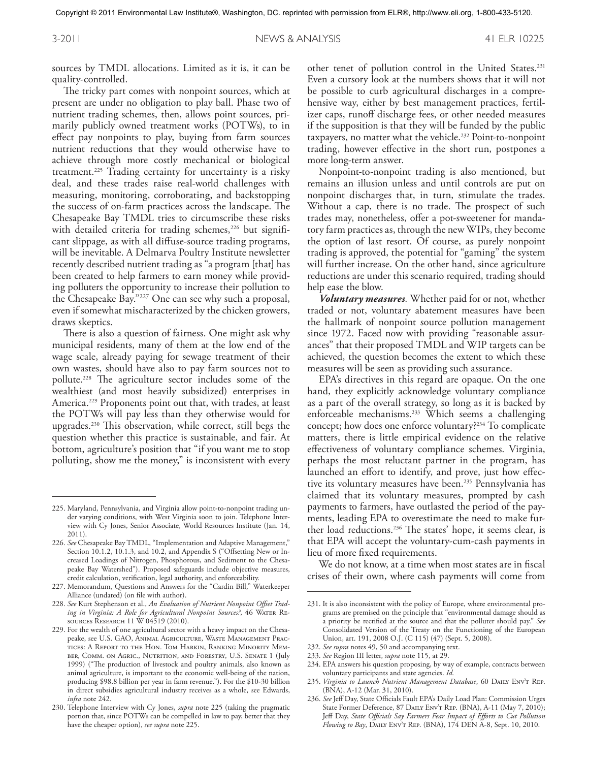sources by TMDL allocations. Limited as it is, it can be quality-controlled.

The tricky part comes with nonpoint sources, which at present are under no obligation to play ball. Phase two of nutrient trading schemes, then, allows point sources, primarily publicly owned treatment works (POTWs), to in effect pay nonpoints to play, buying from farm sources nutrient reductions that they would otherwise have to achieve through more costly mechanical or biological treatment. 225 Trading certainty for uncertainty is a risky deal, and these trades raise real-world challenges with measuring, monitoring, corroborating, and backstopping the success of on-farm practices across the landscape. The Chesapeake Bay TMDL tries to circumscribe these risks with detailed criteria for trading schemes,<sup>226</sup> but significant slippage, as with all diffuse-source trading programs, will be inevitable. A Delmarva Poultry Institute newsletter recently described nutrient trading as "a program [that] has been created to help farmers to earn money while providing polluters the opportunity to increase their pollution to the Chesapeake Bay."227 One can see why such a proposal, even if somewhat mischaracterized by the chicken growers, draws skeptics.

There is also a question of fairness. One might ask why municipal residents, many of them at the low end of the wage scale, already paying for sewage treatment of their own wastes, should have also to pay farm sources not to pollute. 228 The agriculture sector includes some of the wealthiest (and most heavily subsidized) enterprises in America. 229 Proponents point out that, with trades, at least the POTWs will pay less than they otherwise would for upgrades. 230 This observation, while correct, still begs the question whether this practice is sustainable, and fair. At bottom, agriculture's position that "if you want me to stop polluting, show me the money," is inconsistent with every

other tenet of pollution control in the United States. 231 Even a cursory look at the numbers shows that it will not be possible to curb agricultural discharges in a comprehensive way, either by best management practices, fertilizer caps, runoff discharge fees, or other needed measures if the supposition is that they will be funded by the public taxpayers, no matter what the vehicle. 232 Point-to-nonpoint trading, however effective in the short run, postpones a more long-term answer.

Nonpoint-to-nonpoint trading is also mentioned, but remains an illusion unless and until controls are put on nonpoint discharges that, in turn, stimulate the trades. Without a cap, there is no trade. The prospect of such trades may, nonetheless, offer a pot-sweetener for mandatory farm practices as, through the new WIPs, they become the option of last resort. Of course, as purely nonpoint trading is approved, the potential for "gaming" the system will further increase. On the other hand, since agriculture reductions are under this scenario required, trading should help ease the blow.

*Voluntary measures.* Whether paid for or not, whether traded or not, voluntary abatement measures have been the hallmark of nonpoint source pollution management since 1972. Faced now with providing "reasonable assurances" that their proposed TMDL and WIP targets can be achieved, the question becomes the extent to which these measures will be seen as providing such assurance.

EPA's directives in this regard are opaque. On the one hand, they explicitly acknowledge voluntary compliance as a part of the overall strategy, so long as it is backed by enforceable mechanisms. 233 Which seems a challenging concept; how does one enforce voluntary?234 To complicate matters, there is little empirical evidence on the relative effectiveness of voluntary compliance schemes. Virginia, perhaps the most reluctant partner in the program, has launched an effort to identify, and prove, just how effective its voluntary measures have been. 235 Pennsylvania has claimed that its voluntary measures, prompted by cash payments to farmers, have outlasted the period of the payments, leading EPA to overestimate the need to make further load reductions. 236 The states' hope, it seems clear, is that EPA will accept the voluntary-cum-cash payments in lieu of more fixed requirements.

We do not know, at a time when most states are in fiscal crises of their own, where cash payments will come from

- 234. EPA answers his question proposing, by way of example, contracts between voluntary participants and state agencies. *Id.*
- 235. *Virginia to Launch Nutrient Management Database*, 60 Daily Env't Rep. (BNA), A-12 (Mar. 31, 2010).
- 236. *See* Jeff Day, State Officials Fault EPA's Daily Load Plan: Commission Urges State Former Deference, 87 DAILY ENV'T REP. (BNA), A-11 (May 7, 2010); Jeff Day, *State Officials Say Farmers Fear Impact of Efforts to Cut Pollution Flowing to Bay*, Daily Env't Rep. (BNA), 174 DEN A-8, Sept. 10, 2010.

<sup>225.</sup> Maryland, Pennsylvania, and Virginia allow point-to-nonpoint trading under varying conditions, with West Virginia soon to join. Telephone Interview with Cy Jones, Senior Associate, World Resources Institute (Jan. 14, 2011).

<sup>226.</sup> *See* Chesapeake Bay TMDL, "Implementation and Adaptive Management," Section 10.1.2, 10.1.3, and 10.2, and Appendix S ("Offsetting New or Increased Loadings of Nitrogen, Phosphorous, and Sediment to the Chesapeake Bay Watershed"). Proposed safeguards include objective measures, credit calculation, verification, legal authority, and enforceability.

<sup>227.</sup> Memorandum, Questions and Answers for the "Cardin Bill," Waterkeeper Alliance (undated) (on file with author).

<sup>228.</sup> *See* Kurt Stephenson et al., *An Evaluation of Nutrient Nonpoint Offset Trad*ing in Virginia: A Role for Agricultural Nonpoint Sources?, 46 WATER REsources Research 11 W 04519 (2010).

<sup>229.</sup> For the wealth of one agricultural sector with a heavy impact on the Chesapeake, see U.S. GAO, Animal Agriculture, Waste Management Practices: A Report to the Hon. Tom Harkin, Ranking Minority Member, Comm. on Agric., Nutrition, and Forestry, U.S. Senate 1 (July 1999) ("The production of livestock and poultry animals, also known as animal agriculture, is important to the economic well-being of the nation, producing \$98.8 billion per year in farm revenue."). For the \$10-30 billion in direct subsidies agricultural industry receives as a whole, see Edwards, *infra* note 242.

<sup>230.</sup> Telephone Interview with Cy Jones, *supra* note 225 (taking the pragmatic portion that, since POTWs can be compelled in law to pay, better that they have the cheaper option), *see supra* note 225.

<sup>231.</sup> It is also inconsistent with the policy of Europe, where environmental programs are premised on the principle that "environmental damage should as a priority be rectified at the source and that the polluter should pay." *See* Consolidated Version of the Treaty on the Functioning of the European Union, art. 191, 2008 O.J. (C 115) (47) (Sept. 5, 2008).

<sup>232.</sup> *See supra* notes 49, 50 and accompanying text.

<sup>233.</sup> *See* Region III letter, *supra* note 115, at 29.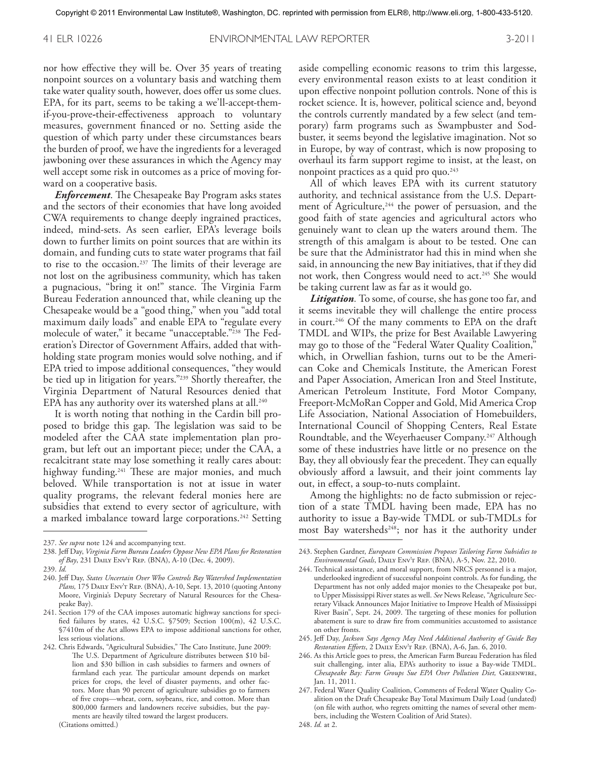41 ELR 10226 ENVIRONMENTAL LAW REPORTER 3-2011

nor how effective they will be. Over 35 years of treating nonpoint sources on a voluntary basis and watching them take water quality south, however, does offer us some clues. EPA, for its part, seems to be taking a we'll-accept-themif-you-prove**-**their-effectiveness approach to voluntary measures, government financed or no. Setting aside the question of which party under these circumstances bears the burden of proof, we have the ingredients for a leveraged jawboning over these assurances in which the Agency may well accept some risk in outcomes as a price of moving forward on a cooperative basis.

*Enforcement*. The Chesapeake Bay Program asks states and the sectors of their economies that have long avoided CWA requirements to change deeply ingrained practices, indeed, mind-sets. As seen earlier, EPA's leverage boils down to further limits on point sources that are within its domain, and funding cuts to state water programs that fail to rise to the occasion. 237 The limits of their leverage are not lost on the agribusiness community, which has taken a pugnacious, "bring it on!" stance. The Virginia Farm Bureau Federation announced that, while cleaning up the Chesapeake would be a "good thing," when you "add total maximum daily loads" and enable EPA to "regulate every molecule of water," it became "unacceptable."238 The Federation's Director of Government Affairs, added that withholding state program monies would solve nothing, and if EPA tried to impose additional consequences, "they would be tied up in litigation for years."239 Shortly thereafter, the Virginia Department of Natural Resources denied that EPA has any authority over its watershed plans at all. $^{\rm 240}$ 

It is worth noting that nothing in the Cardin bill proposed to bridge this gap. The legislation was said to be modeled after the CAA state implementation plan program, but left out an important piece; under the CAA, a recalcitrant state may lose something it really cares about: highway funding. 241 These are major monies, and much beloved. While transportation is not at issue in water quality programs, the relevant federal monies here are subsidies that extend to every sector of agriculture, with a marked imbalance toward large corporations. 242 Setting aside compelling economic reasons to trim this largesse, every environmental reason exists to at least condition it upon effective nonpoint pollution controls. None of this is rocket science. It is, however, political science and, beyond the controls currently mandated by a few select (and temporary) farm programs such as Swampbuster and Sodbuster, it seems beyond the legislative imagination. Not so in Europe, by way of contrast, which is now proposing to overhaul its farm support regime to insist, at the least, on nonpoint practices as a quid pro quo. 243

All of which leaves EPA with its current statutory authority, and technical assistance from the U.S. Department of Agriculture,<sup>244</sup> the power of persuasion, and the good faith of state agencies and agricultural actors who genuinely want to clean up the waters around them. The strength of this amalgam is about to be tested. One can be sure that the Administrator had this in mind when she said, in announcing the new Bay initiatives, that if they did not work, then Congress would need to act. 245 She would be taking current law as far as it would go.

*Litigation.* To some, of course, she has gone too far, and it seems inevitable they will challenge the entire process in court. 246 Of the many comments to EPA on the draft TMDL and WIPs, the prize for Best Available Lawyering may go to those of the "Federal Water Quality Coalition," which, in Orwellian fashion, turns out to be the American Coke and Chemicals Institute, the American Forest and Paper Association, American Iron and Steel Institute, American Petroleum Institute, Ford Motor Company, Freeport-McMoRan Copper and Gold, Mid America Crop Life Association, National Association of Homebuilders, International Council of Shopping Centers, Real Estate Roundtable, and the Weyerhaeuser Company. 247 Although some of these industries have little or no presence on the Bay, they all obviously fear the precedent. They can equally obviously afford a lawsuit, and their joint comments lay out, in effect, a soup-to-nuts complaint.

Among the highlights: no de facto submission or rejection of a state TMDL having been made, EPA has no authority to issue a Bay-wide TMDL or sub-TMDLs for most Bay watersheds<sup>248</sup>; nor has it the authority under

<sup>237.</sup> *See supra* note 124 and accompanying text.

<sup>238.</sup> Jeff Day, *Virginia Farm Bureau Leaders Oppose New EPA Plans for Restoration of Bay*, 231 Daily Env't Rep. (BNA), A-10 (Dec. 4, 2009).

<sup>239.</sup> *Id.*

<sup>240.</sup> Jeff Day, *States Uncertain Over Who Controls Bay Watershed Implementation Plans,* 175 Daily Env't Rep. (BNA), A-10, Sept. 13, 2010 (quoting Antony Moore, Virginia's Deputy Secretary of Natural Resources for the Chesapeake Bay).

<sup>241.</sup> Section 179 of the CAA imposes automatic highway sanctions for specified failures by states, 42 U.S.C. §7509; Section 100(m), 42 U.S.C. §7410m of the Act allows EPA to impose additional sanctions for other, less serious violations.

<sup>242.</sup> Chris Edwards, "Agricultural Subsidies," The Cato Institute, June 2009: The U.S. Department of Agriculture distributes between \$10 billion and \$30 billion in cash subsidies to farmers and owners of farmland each year. The particular amount depends on market prices for crops, the level of disaster payments, and other factors. More than 90 percent of agriculture subsidies go to farmers of five crops—wheat, corn, soybeans, rice, and cotton. More than 800,000 farmers and landowners receive subsidies, but the payments are heavily tilted toward the largest producers.

<sup>243.</sup> Stephen Gardner, *European Commission Proposes Tailoring Farm Subsidies to Environmental Goals*, Daily Env't Rep. (BNA), A-5, Nov. 22, 2010.

<sup>244.</sup> Technical assistance, and moral support, from NRCS personnel is a major, underlooked ingredient of successful nonpoint controls. As for funding, the Department has not only added major monies to the Chesapeake pot but, to Upper Mississippi River states as well. *See* News Release, "Agriculture Secretary Vilsack Announces Major Initiative to Improve Health of Mississippi River Basin", Sept. 24, 2009. The targeting of these monies for pollution abatement is sure to draw fire from communities accustomed to assistance on other fronts.

<sup>245.</sup> Jeff Day, *Jackson Says Agency May Need Additional Authority of Guide Bay Restoration Efforts*, 2 Daily Env't Rep. (BNA), A-6, Jan. 6, 2010.

<sup>246.</sup> As this Article goes to press, the American Farm Bureau Federation has filed suit challenging, inter alia, EPA's authority to issue a Bay-wide TMDL. *Chesapeake Bay: Farm Groups Sue EPA Over Pollution Diet,* Greenwire, Jan. 11, 2011.

<sup>247.</sup> Federal Water Quality Coalition, Comments of Federal Water Quality Coalition on the Draft Chesapeake Bay Total Maximum Daily Load (undated) (on file with author, who regrets omitting the names of several other members, including the Western Coalition of Arid States).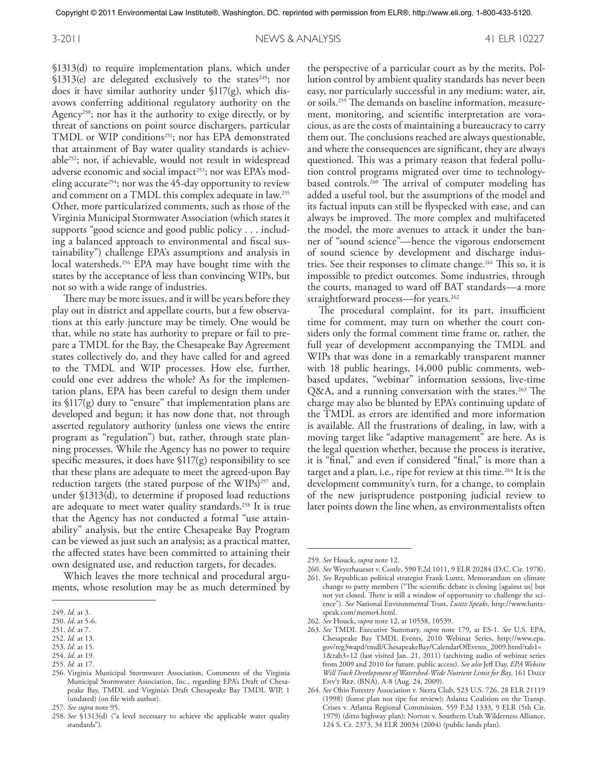§1313(d) to require implementation plans, which under §1313(e) are delegated exclusively to the states<sup>249</sup>; nor does it have similar authority under §117(g), which disavows conferring additional regulatory authority on the Agency<sup>250</sup>; nor has it the authority to exige directly, or by threat of sanctions on point source dischargers, particular TMDL or WIP conditions<sup>251</sup>; nor has EPA demonstrated that attainment of Bay water quality standards is achievable252; nor, if achievable, would not result in widespread adverse economic and social impact<sup>253</sup>; nor was EPA's modeling accurate<sup>254</sup>; nor was the 45-day opportunity to review and comment on a TMDL this complex adequate in law. 255 Other, more particularized comments, such as those of the Virginia Municipal Stormwater Association (which states it supports "good science and good public policy ... including a balanced approach to environmental and fiscal sustainability") challenge EPA's assumptions and analysis in local watersheds. 256 EPA may have bought time with the states by the acceptance of less than convincing WIPs, but not so with a wide range of industries.

There may be more issues, and it will be years before they play out in district and appellate courts, but a few observations at this early juncture may be timely. One would be that, while no state has authority to prepare or fail to prepare a TMDL for the Bay, the Chesapeake Bay Agreement states collectively do, and they have called for and agreed to the TMDL and WIP processes. How else, further, could one ever address the whole? As for the implementation plans, EPA has been careful to design them under its  $\frac{1}{7}$ (g) duty to "ensure" that implementation plans are developed and begun; it has now done that, not through asserted regulatory authority (unless one views the entire program as "regulation") but, rather, through state planning processes. While the Agency has no power to require specific measures, it does have  $$117(g)$  responsibility to see that these plans are adequate to meet the agreed-upon Bay reduction targets (the stated purpose of the  $WIPs$ )<sup>257</sup> and, under §1313(d), to determine if proposed load reductions are adequate to meet water quality standards. 258 It is true that the Agency has not conducted a formal "use attainability" analysis, but the entire Chesapeake Bay Program can be viewed as just such an analysis; as a practical matter, the affected states have been committed to attaining their own designated use, and reduction targets, for decades.

Which leaves the more technical and procedural arguments, whose resolution may be as much determined by

253. *Id.* at 15. 254. *Id.* at 19.

the perspective of a particular court as by the merits. Pollution control by ambient quality standards has never been easy, nor particularly successful in any medium: water, air, or soils. 259 The demands on baseline information, measurement, monitoring, and scientific interpretation are voracious, as are the costs of maintaining a bureaucracy to carry them out. The conclusions reached are always questionable, and where the consequences are significant, they are always questioned. This was a primary reason that federal pollution control programs migrated over time to technologybased controls. 260 The arrival of computer modeling has added a useful tool, but the assumptions of the model and its factual inputs can still be flyspecked with ease, and can always be improved. The more complex and multifaceted the model, the more avenues to attack it under the banner of "sound science"—hence the vigorous endorsement of sound science by development and discharge industries. See their responses to climate change. 261 This so, it is impossible to predict outcomes. Some industries, through the courts, managed to ward off BAT standards—a more straightforward process—for years. 262

The procedural complaint, for its part, insufficient time for comment, may turn on whether the court considers only the formal comment time frame or, rather, the full year of development accompanying the TMDL and WIPs that was done in a remarkably transparent manner with 18 public hearings, 14,000 public comments, webbased updates, "webinar" information sessions, live-time Q&A, and a running conversation with the states. 263 The charge may also be blunted by EPA's continuing update of the TMDL as errors are identified and more information is available. All the frustrations of dealing, in law, with a moving target like "adaptive management" are here. As is the legal question whether, because the process is iterative, it is "final," and even if considered "final," is more than a target and a plan, i.e., ripe for review at this time. 264 It is the development community's turn, for a change, to complain of the new jurisprudence postponing judicial review to later points down the line when, as environmentalists often

<sup>249.</sup> *Id.* at 3.

<sup>250.</sup> *Id.* at 5-6.

<sup>251.</sup> *Id.* at 7.

<sup>252.</sup> *Id.* at 13.

<sup>255.</sup> *Id.* at 17.

<sup>256.</sup> Virginia Municipal Stormwater Association, Comments of the Virginia Municipal Stormwater Association, Inc., regarding EPA's Draft of Chesapeake Bay, TMDL and Virginia's Draft Chesapeake Bay TMDL WIP, 1 (undated) (on file with author).

<sup>257.</sup> *See supra* note 95.

<sup>258.</sup> *See* §1313(d) ("a level necessary to achieve the applicable water quality standards").

<sup>259.</sup> *See* Houck, *supra* note 12.

<sup>260.</sup> *See* Weyerhaueser v. Costle, 590 F.2d 1011, 9 ELR 20284 (D.C. Cir. 1978).

<sup>261.</sup> *See* Republican political strategist Frank Luntz, Memorandum on climate change to party members ("The scientific debate is closing [against us] but not yet closed. There is still a window of opportunity to challenge the science"). *See* National Environmental Trust, *Luntz Speaks*, http://www.luntzspeak.com/memo4.html.

<sup>262.</sup> *See* Houck, *supra* note 12, at 10538, 10539.

<sup>263.</sup> *See* TMDL Executive Summary, *supra* note 179, at ES-1. *See* U.S. EPA, Chesapeake Bay TMDL Events, 2010 Webinar Series, http://www.epa. gov/reg3wapd/tmdl/ChesapeakeBay/CalendarOfEvents\_2009.html?tab1= 1&tab3=12 (last visited Jan. 21, 2011) (archiving audio of webinar series from 2009 and 2010 for future, public access). *See also* Jeff Day, *EPA Website Will Track Development of Watershed-Wide Nutrient Limit for Bay*, 161 Daily Env't Rep. (BNA), A-8 (Aug. 24, 2009).

<sup>264.</sup> *See* Ohio Forestry Association v. Sierra Club, 523 U.S. 726, 28 ELR 21119 (1998) (forest plan not ripe for review); Atlanta Coalition on the Transp. Crises v. Atlanta Regional Commission, 559 F.2d 1333, 9 ELR (5th Cir. 1979) (ditto highway plan); Norton v. Southern Utah Wilderness Alliance, 124 S. Ct. 2373, 34 ELR 20034 (2004) (public lands plan).